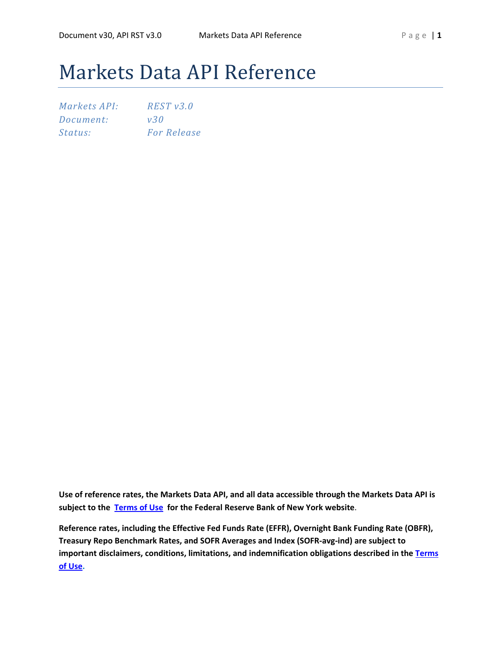# Markets Data API Reference

| Markets API: | REST v3.0          |
|--------------|--------------------|
| Document:    | v30                |
| Status:      | <b>For Release</b> |

**Use of reference rates, the Markets Data API, and all data accessible through the Markets Data API is subject to the [Terms of Use](https://www.newyorkfed.org/privacy/termsofuse.html) for the Federal Reserve Bank of New York website**.

**Reference rates, including the Effective Fed Funds Rate (EFFR), Overnight Bank Funding Rate (OBFR), Treasury Repo Benchmark Rates, and SOFR Averages and Index (SOFR-avg-ind) are subject to important disclaimers, conditions, limitations, and indemnification obligations described in the [Terms](https://www.newyorkfed.org/privacy/termsofuse.html)  [of Use.](https://www.newyorkfed.org/privacy/termsofuse.html)**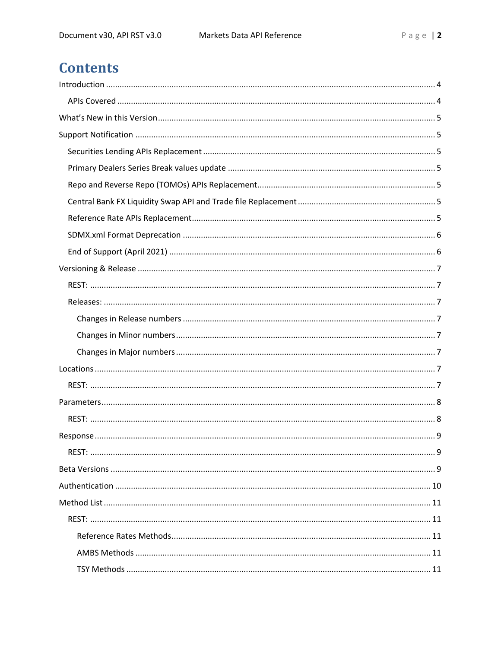# **Contents**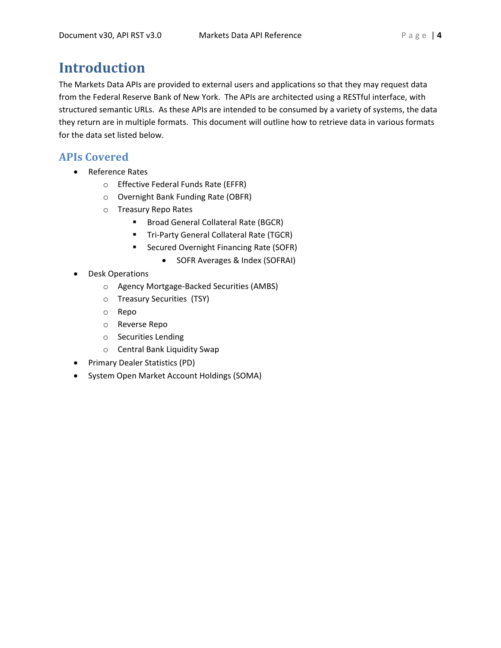# <span id="page-3-0"></span>**Introduction**

The Markets Data APIs are provided to external users and applications so that they may request data from the Federal Reserve Bank of New York. The APIs are architected using a RESTful interface, with structured semantic URLs. As these APIs are intended to be consumed by a variety of systems, the data they return are in multiple formats. This document will outline how to retrieve data in various formats for the data set listed below.

# <span id="page-3-1"></span>**APIs Covered**

- Reference Rates
	- o Effective Federal Funds Rate (EFFR)
	- o Overnight Bank Funding Rate (OBFR)
	- o Treasury Repo Rates
		- **Broad General Collateral Rate (BGCR)**
		- **Tri-Party General Collateral Rate (TGCR)**
		- **Secured Overnight Financing Rate (SOFR)** 
			- SOFR Averages & Index (SOFRAI)
- Desk Operations
	- o Agency Mortgage-Backed Securities (AMBS)
	- o Treasury Securities (TSY)
	- o Repo
	- o Reverse Repo
	- o Securities Lending
	- o Central Bank Liquidity Swap
- Primary Dealer Statistics (PD)
- System Open Market Account Holdings (SOMA)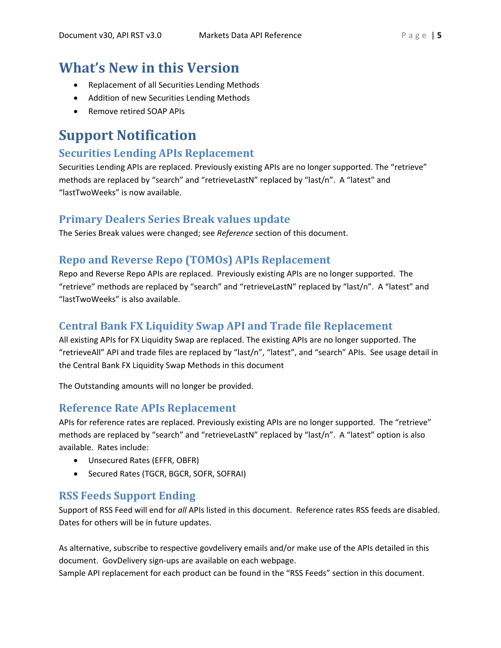# <span id="page-4-0"></span>**What's New in this Version**

- Replacement of all Securities Lending Methods
- Addition of new Securities Lending Methods
- Remove retired SOAP APIs

# <span id="page-4-1"></span>**Support Notification**

# <span id="page-4-2"></span>**Securities Lending APIs Replacement**

Securities Lending APIs are replaced. Previously existing APIs are no longer supported. The "retrieve" methods are replaced by "search" and "retrieveLastN" replaced by "last/n". A "latest" and "lastTwoWeeks" is now available.

# <span id="page-4-3"></span>**Primary Dealers Series Break values update**

The Series Break values were changed; see *Reference* section of this document.

# <span id="page-4-4"></span>**Repo and Reverse Repo (TOMOs) APIs Replacement**

Repo and Reverse Repo APIs are replaced. Previously existing APIs are no longer supported. The "retrieve" methods are replaced by "search" and "retrieveLastN" replaced by "last/n". A "latest" and "lastTwoWeeks" is also available.

# <span id="page-4-5"></span>**Central Bank FX Liquidity Swap API and Trade file Replacement**

All existing APIs for FX Liquidity Swap are replaced. The existing APIs are no longer supported. The "retrieveAll" API and trade files are replaced by "last/n", "latest", and "search" APIs. See usage detail in the Central Bank FX Liquidity Swap Methods in this document

The Outstanding amounts will no longer be provided.

# <span id="page-4-6"></span>**Reference Rate APIs Replacement**

APIs for reference rates are replaced. Previously existing APIs are no longer supported. The "retrieve" methods are replaced by "search" and "retrieveLastN" replaced by "last/n". A "latest" option is also available. Rates include:

- Unsecured Rates (EFFR, OBFR)
- Secured Rates (TGCR, BGCR, SOFR, SOFRAI)

# **RSS Feeds Support Ending**

Support of RSS Feed will end for *all* APIs listed in this document. Reference rates RSS feeds are disabled. Dates for others will be in future updates.

As alternative, subscribe to respective govdelivery emails and/or make use of the APIs detailed in this document. GovDelivery sign-ups are available on each webpage.

Sample API replacement for each product can be found in the "RSS Feeds" section in this document.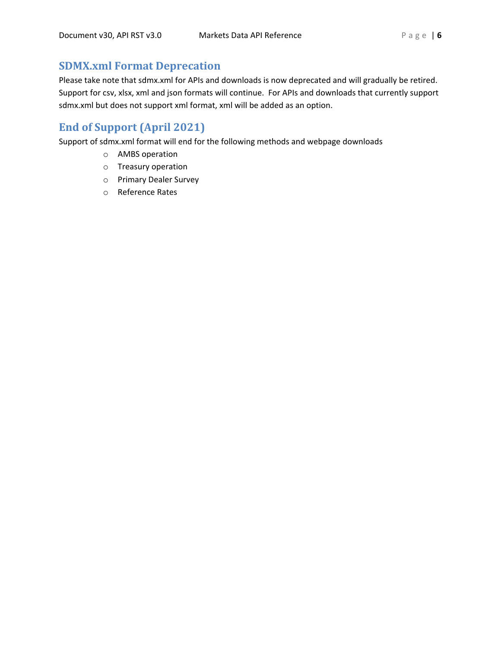# <span id="page-5-0"></span>**SDMX.xml Format Deprecation**

Please take note that sdmx.xml for APIs and downloads is now deprecated and will gradually be retired. Support for csv, xlsx, xml and json formats will continue. For APIs and downloads that currently support sdmx.xml but does not support xml format, xml will be added as an option.

# <span id="page-5-1"></span>**End of Support (April 2021)**

Support of sdmx.xml format will end for the following methods and webpage downloads

- o AMBS operation
- o Treasury operation
- o Primary Dealer Survey
- o Reference Rates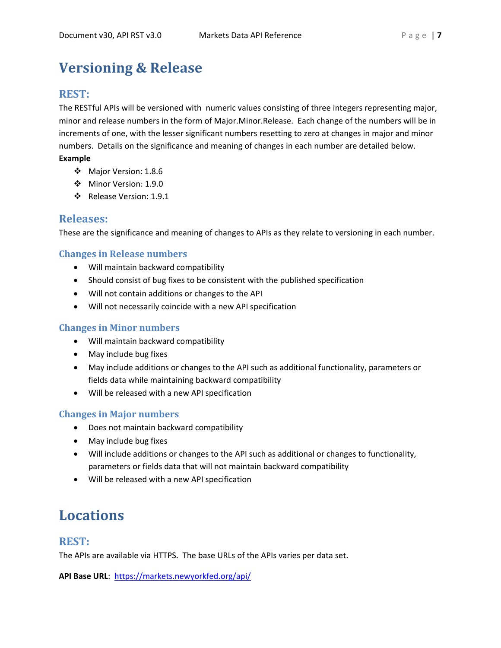# <span id="page-6-0"></span>**Versioning & Release**

# <span id="page-6-1"></span>**REST:**

The RESTful APIs will be versioned with numeric values consisting of three integers representing major, minor and release numbers in the form of Major.Minor.Release. Each change of the numbers will be in increments of one, with the lesser significant numbers resetting to zero at changes in major and minor numbers. Details on the significance and meaning of changes in each number are detailed below. **Example**

- Major Version: 1.8.6
- Minor Version: 1.9.0
- Release Version: 1.9.1

# <span id="page-6-2"></span>**Releases:**

These are the significance and meaning of changes to APIs as they relate to versioning in each number.

# <span id="page-6-3"></span>**Changes in Release numbers**

- Will maintain backward compatibility
- Should consist of bug fixes to be consistent with the published specification
- Will not contain additions or changes to the API
- Will not necessarily coincide with a new API specification

# <span id="page-6-4"></span>**Changes in Minor numbers**

- Will maintain backward compatibility
- May include bug fixes
- May include additions or changes to the API such as additional functionality, parameters or fields data while maintaining backward compatibility
- Will be released with a new API specification

# <span id="page-6-5"></span>**Changes in Major numbers**

- Does not maintain backward compatibility
- May include bug fixes
- Will include additions or changes to the API such as additional or changes to functionality, parameters or fields data that will not maintain backward compatibility
- Will be released with a new API specification

# <span id="page-6-6"></span>**Locations**

# <span id="page-6-7"></span>**REST:**

The APIs are available via HTTPS. The base URLs of the APIs varies per data set.

**API Base URL**: [https://markets.newyorkfed.org/api/](http://markets.newyorkfed.org/api/)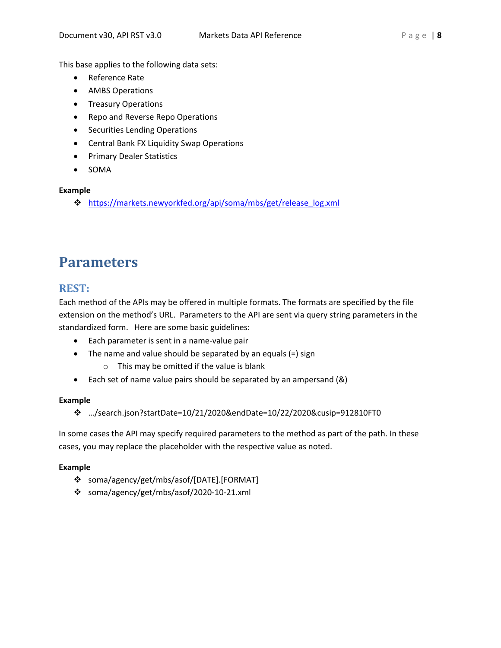This base applies to the following data sets:

- Reference Rate
- AMBS Operations
- Treasury Operations
- Repo and Reverse Repo Operations
- Securities Lending Operations
- Central Bank FX Liquidity Swap Operations
- Primary Dealer Statistics
- SOMA

# **Example**

[https://markets.newyorkfed.org/api/soma/mbs/get/release\\_log.xml](http://markets.newyorkfed.org/api/soma/mbs/get/release_log.xml)

# <span id="page-7-0"></span>**Parameters**

# <span id="page-7-1"></span>**REST:**

Each method of the APIs may be offered in multiple formats. The formats are specified by the file extension on the method's URL. Parameters to the API are sent via query string parameters in the standardized form. Here are some basic guidelines:

- Each parameter is sent in a name-value pair
- The name and value should be separated by an equals (=) sign
	- o This may be omitted if the value is blank
- Each set of name value pairs should be separated by an ampersand (&)

# **Example**

…/search.json?startDate=10/21/2020&endDate=10/22/2020&cusip=912810FT0

In some cases the API may specify required parameters to the method as part of the path. In these cases, you may replace the placeholder with the respective value as noted.

# **Example**

- soma/agency/get/mbs/asof/[DATE].[FORMAT]
- soma/agency/get/mbs/asof/2020-10-21.xml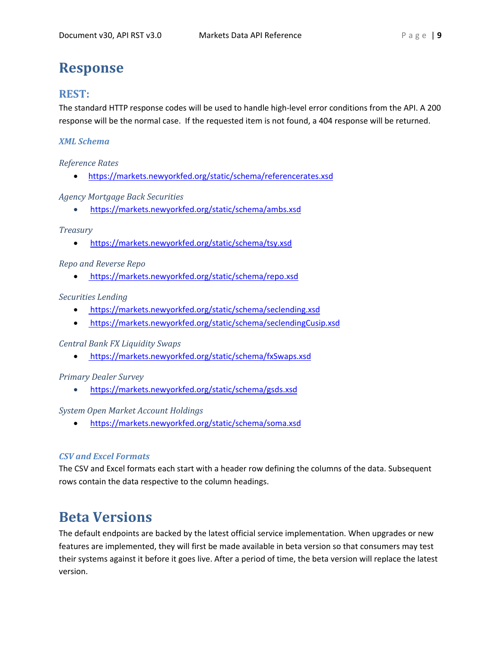# <span id="page-8-0"></span>**Response**

# <span id="page-8-1"></span>**REST:**

The standard HTTP response codes will be used to handle high-level error conditions from the API. A 200 response will be the normal case. If the requested item is not found, a 404 response will be returned.

# *XML Schema*

*Reference Rates*

• <https://markets.newyorkfed.org/static/schema/referencerates.xsd>

# *Agency Mortgage Back Securities*

• [https://markets.newyorkfed.org/static/schema/ambs.xsd](https://www.newyorkfed.org/medialibrary/media/xml/schemas/ambs.xsd)

# *Treasury*

• [https://markets.newyorkfed.org/static/schema/tsy.xsd](https://www.newyorkfed.org/medialibrary/media/xml/schemas/tsy.xsd)

# *Repo and Reverse Repo*

• <https://markets.newyorkfed.org/static/schema/repo.xsd>

# *Securities Lending*

- <https://markets.newyorkfed.org/static/schema/seclending.xsd>
- [https://markets.newyorkfed.org/static/schema/seclendingCusip.xsd](https://markets.newyorkfed.org/%20static/schema/seclendingCusip.xsd)

# *Central Bank FX Liquidity Swaps*

• [https://markets.newyorkfed.org/static/schema/fxSwaps.xsd](https://fedsharesites.frb.org/2b/tsgprj/MKTS/spire/Artifacts/Project%20Management/Project%20Planning/Production%20Deployment/%20https:/markets.newyorkfed.org/static/schema/fxSwaps.xsd) 

# *Primary Dealer Survey*

• [https://markets.newyorkfed.org/static/schema/gsds.xsd](https://www.newyorkfed.org/medialibrary/media/xml/schemas/gsds.xsd)

# *System Open Market Account Holdings*

• [https://markets.newyorkfed.org/static/schema/soma.xsd](https://www.newyorkfed.org/medialibrary/media/xml/schemas/soma.xsd)

# *CSV and Excel Formats*

The CSV and Excel formats each start with a header row defining the columns of the data. Subsequent rows contain the data respective to the column headings.

# <span id="page-8-2"></span>**Beta Versions**

The default endpoints are backed by the latest official service implementation. When upgrades or new features are implemented, they will first be made available in beta version so that consumers may test their systems against it before it goes live. After a period of time, the beta version will replace the latest version.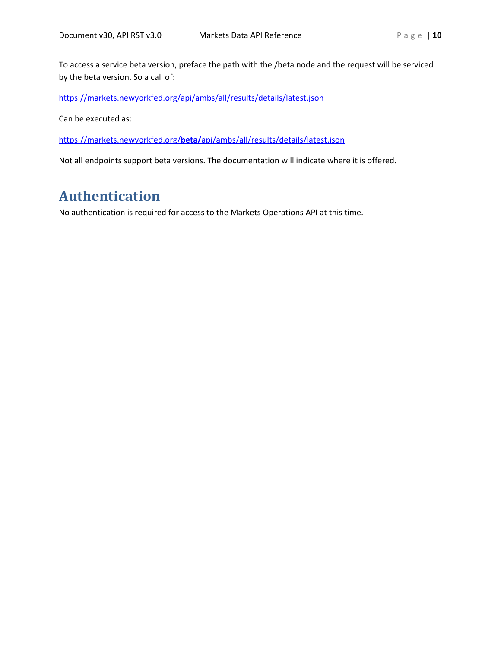To access a service beta version, preface the path with the /beta node and the request will be serviced by the beta version. So a call of:

[https://markets.newyorkfed.org/api/ambs/all/results/details/latest.json](http://markets.newyorkfed.org/api/ambs/all/results/details/latest.json)

Can be executed as:

https://markets.newyorkfed.org/**beta/**[api/ambs/all/results/details/latest.json](http://markets.newyorkfed.org/beta/api/ambs/all/results/details/latest.json)

Not all endpoints support beta versions. The documentation will indicate where it is offered.

# <span id="page-9-0"></span>**Authentication**

No authentication is required for access to the Markets Operations API at this time.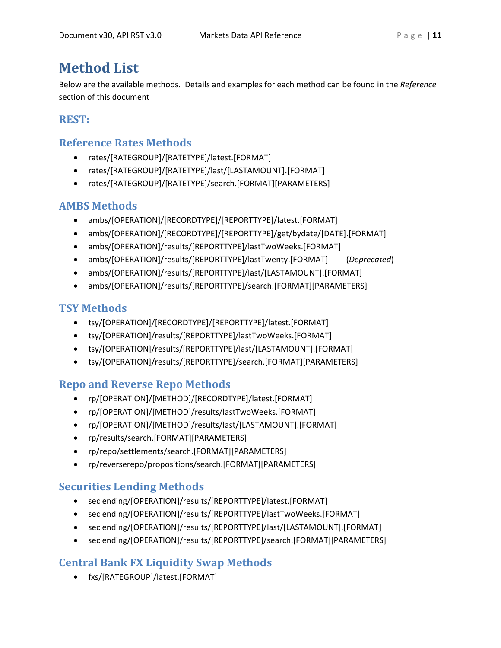# <span id="page-10-0"></span>**Method List**

Below are the available methods. Details and examples for each method can be found in the *Reference* section of this document

# <span id="page-10-1"></span>**REST:**

# <span id="page-10-2"></span>**Reference Rates Methods**

- rates/[RATEGROUP]/[RATETYPE]/latest.[FORMAT]
- rates/[RATEGROUP]/[RATETYPE]/last/[LASTAMOUNT].[FORMAT]
- rates/[RATEGROUP]/[RATETYPE]/search.[FORMAT][PARAMETERS]

# <span id="page-10-3"></span>**AMBS Methods**

- ambs/[OPERATION]/[RECORDTYPE]/[REPORTTYPE]/latest.[FORMAT]
- ambs/[OPERATION]/[RECORDTYPE]/[REPORTTYPE]/get/bydate/[DATE].[FORMAT]
- ambs/[OPERATION]/results/[REPORTTYPE]/lastTwoWeeks.[FORMAT]
- ambs/[OPERATION]/results/[REPORTTYPE]/lastTwenty.[FORMAT] (*Deprecated*)
- ambs/[OPERATION]/results/[REPORTTYPE]/last/[LASTAMOUNT].[FORMAT]
- ambs/[OPERATION]/results/[REPORTTYPE]/search.[FORMAT][PARAMETERS]

# <span id="page-10-4"></span>**TSY Methods**

- tsy/[OPERATION]/[RECORDTYPE]/[REPORTTYPE]/latest.[FORMAT]
- tsy/[OPERATION]/results/[REPORTTYPE]/lastTwoWeeks.[FORMAT]
- tsy/[OPERATION]/results/[REPORTTYPE]/last/[LASTAMOUNT].[FORMAT]
- tsy/[OPERATION]/results/[REPORTTYPE]/search.[FORMAT][PARAMETERS]

# <span id="page-10-5"></span>**Repo and Reverse Repo Methods**

- rp/[OPERATION]/[METHOD]/[RECORDTYPE]/latest.[FORMAT]
- rp/[OPERATION]/[METHOD]/results/lastTwoWeeks.[FORMAT]
- rp/[OPERATION]/[METHOD]/results/last/[LASTAMOUNT].[FORMAT]
- rp/results/search.[FORMAT][PARAMETERS]
- rp/repo/settlements/search.[FORMAT][PARAMETERS]
- rp/reverserepo/propositions/search.[FORMAT][PARAMETERS]

# <span id="page-10-6"></span>**Securities Lending Methods**

- seclending/[OPERATION]/results/[REPORTTYPE]/latest.[FORMAT]
- seclending/[OPERATION]/results/[REPORTTYPE]/lastTwoWeeks.[FORMAT]
- seclending/[OPERATION]/results/[REPORTTYPE]/last/[LASTAMOUNT].[FORMAT]
- seclending/[OPERATION]/results/[REPORTTYPE]/search.[FORMAT][PARAMETERS]

# <span id="page-10-7"></span>**Central Bank FX Liquidity Swap Methods**

• fxs/[RATEGROUP]/latest.[FORMAT]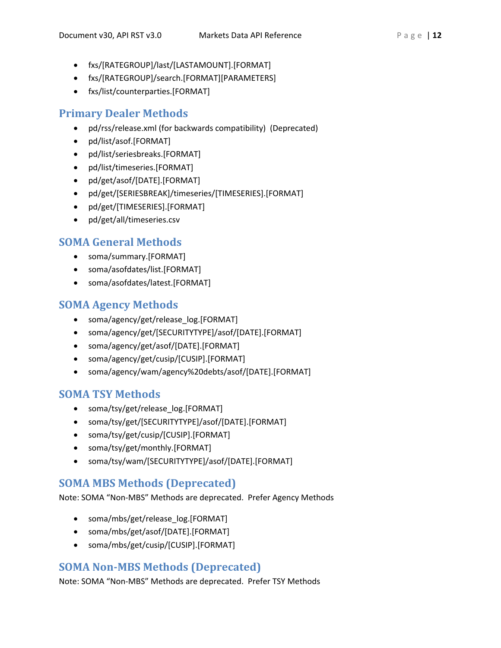- fxs/[RATEGROUP]/last/[LASTAMOUNT].[FORMAT]
- fxs/[RATEGROUP]/search.[FORMAT][PARAMETERS]
- fxs/list/counterparties.[FORMAT]

# <span id="page-11-0"></span>**Primary Dealer Methods**

- pd/rss/release.xml (for backwards compatibility) (Deprecated)
- pd/list/asof.[FORMAT]
- pd/list/seriesbreaks.[FORMAT]
- pd/list/timeseries.[FORMAT]
- pd/get/asof/[DATE].[FORMAT]
- pd/get/[SERIESBREAK]/timeseries/[TIMESERIES].[FORMAT]
- pd/get/[TIMESERIES].[FORMAT]
- pd/get/all/timeseries.csv

# <span id="page-11-1"></span>**SOMA General Methods**

- soma/summary.[FORMAT]
- soma/asofdates/list.[FORMAT]
- soma/asofdates/latest.[FORMAT]

# <span id="page-11-2"></span>**SOMA Agency Methods**

- soma/agency/get/release\_log.[FORMAT]
- soma/agency/get/[SECURITYTYPE]/asof/[DATE].[FORMAT]
- soma/agency/get/asof/[DATE].[FORMAT]
- soma/agency/get/cusip/[CUSIP].[FORMAT]
- soma/agency/wam/agency%20debts/asof/[DATE].[FORMAT]

# <span id="page-11-3"></span>**SOMA TSY Methods**

- soma/tsy/get/release\_log.[FORMAT]
- soma/tsy/get/[SECURITYTYPE]/asof/[DATE].[FORMAT]
- soma/tsy/get/cusip/[CUSIP].[FORMAT]
- soma/tsy/get/monthly.[FORMAT]
- soma/tsy/wam/[SECURITYTYPE]/asof/[DATE].[FORMAT]

# <span id="page-11-4"></span>**SOMA MBS Methods (Deprecated)**

Note: SOMA "Non-MBS" Methods are deprecated. Prefer Agency Methods

- soma/mbs/get/release\_log.[FORMAT]
- soma/mbs/get/asof/[DATE].[FORMAT]
- soma/mbs/get/cusip/[CUSIP].[FORMAT]

# <span id="page-11-5"></span>**SOMA Non-MBS Methods (Deprecated)**

Note: SOMA "Non-MBS" Methods are deprecated. Prefer TSY Methods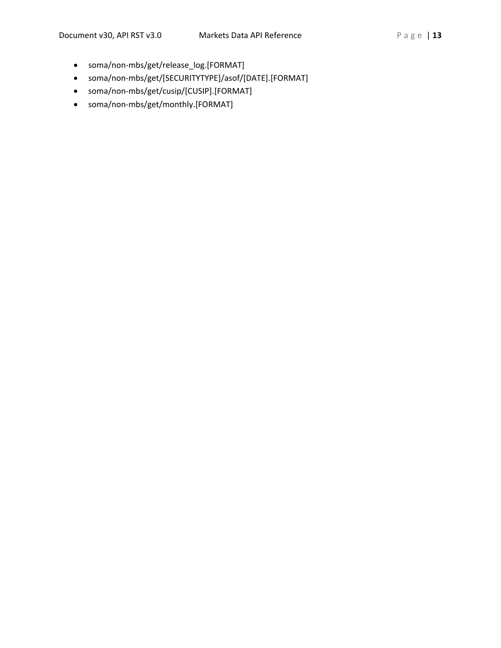- soma/non-mbs/get/release\_log.[FORMAT]
- soma/non-mbs/get/[SECURITYTYPE]/asof/[DATE].[FORMAT]
- soma/non-mbs/get/cusip/[CUSIP].[FORMAT]
- soma/non-mbs/get/monthly.[FORMAT]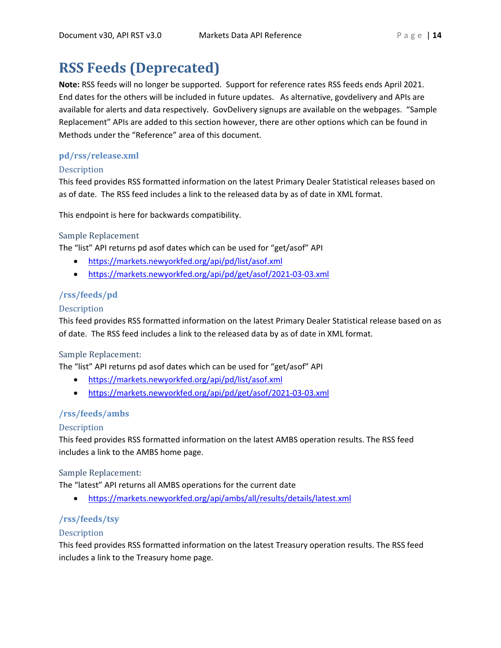# <span id="page-13-0"></span>**RSS Feeds (Deprecated)**

**Note:** RSS feeds will no longer be supported. Support for reference rates RSS feeds ends April 2021. End dates for the others will be included in future updates. As alternative, govdelivery and APIs are available for alerts and data respectively. GovDelivery signups are available on the webpages. "Sample Replacement" APIs are added to this section however, there are other options which can be found in Methods under the "Reference" area of this document.

# **pd/rss/release.xml**

# **Description**

This feed provides RSS formatted information on the latest Primary Dealer Statistical releases based on as of date. The RSS feed includes a link to the released data by as of date in XML format.

This endpoint is here for backwards compatibility.

# Sample Replacement

The "list" API returns pd asof dates which can be used for "get/asof" API

- <https://markets.newyorkfed.org/api/pd/list/asof.xml>
- <https://markets.newyorkfed.org/api/pd/get/asof/2021-03-03.xml>

# **/rss/feeds/pd**

# **Description**

This feed provides RSS formatted information on the latest Primary Dealer Statistical release based on as of date. The RSS feed includes a link to the released data by as of date in XML format.

# Sample Replacement:

The "list" API returns pd asof dates which can be used for "get/asof" API

- <https://markets.newyorkfed.org/api/pd/list/asof.xml>
- <https://markets.newyorkfed.org/api/pd/get/asof/2021-03-03.xml>

# **/rss/feeds/ambs**

# Description

This feed provides RSS formatted information on the latest AMBS operation results. The RSS feed includes a link to the AMBS home page.

# Sample Replacement:

The "latest" API returns all AMBS operations for the current date

• <https://markets.newyorkfed.org/api/ambs/all/results/details/latest.xml>

# **/rss/feeds/tsy**

# **Description**

This feed provides RSS formatted information on the latest Treasury operation results. The RSS feed includes a link to the Treasury home page.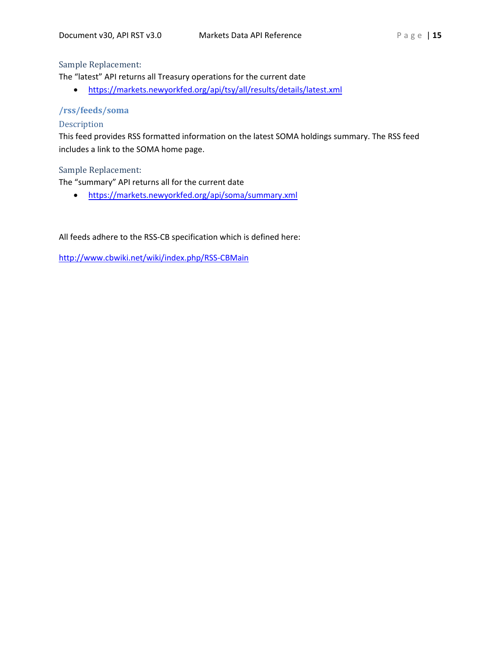# Sample Replacement:

The "latest" API returns all Treasury operations for the current date

• <https://markets.newyorkfed.org/api/tsy/all/results/details/latest.xml>

# **/rss/feeds/soma**

# Description

This feed provides RSS formatted information on the latest SOMA holdings summary. The RSS feed includes a link to the SOMA home page.

# Sample Replacement:

The "summary" API returns all for the current date

• <https://markets.newyorkfed.org/api/soma/summary.xml>

All feeds adhere to the RSS-CB specification which is defined here:

<http://www.cbwiki.net/wiki/index.php/RSS-CBMain>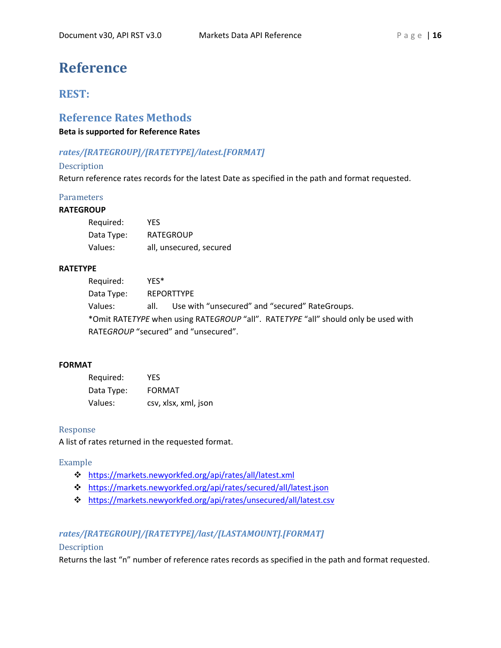# <span id="page-15-0"></span>**Reference**

# <span id="page-15-1"></span>**REST:**

# <span id="page-15-2"></span>**Reference Rates Methods**

**Beta is supported for Reference Rates**

# *rates/[RATEGROUP]/[RATETYPE]/latest.[FORMAT]*

# Description

Return reference rates records for the latest Date as specified in the path and format requested.

# **Parameters**

# **RATEGROUP**

| Required:  | <b>YES</b>              |
|------------|-------------------------|
| Data Type: | <b>RATEGROUP</b>        |
| Values:    | all, unsecured, secured |

#### **RATETYPE**

Required: YES\* Data Type: REPORTTYPE Values: all. Use with "unsecured" and "secured" RateGroups. \*Omit RATE*TYPE* when using RATE*GROUP* "all". RATE*TYPE* "all" should only be used with RATE*GROUP* "secured" and "unsecured".

# **FORMAT**

| Required:  | YFS.                 |
|------------|----------------------|
| Data Type: | <b>FORMAT</b>        |
| Values:    | csv, xlsx, xml, json |

# Response

A list of rates returned in the requested format.

#### Example

- <https://markets.newyorkfed.org/api/rates/all/latest.xml>
- <https://markets.newyorkfed.org/api/rates/secured/all/latest.json>
- <https://markets.newyorkfed.org/api/rates/unsecured/all/latest.csv>

# *rates/[RATEGROUP]/[RATETYPE]/last/[LASTAMOUNT].[FORMAT]*

# Description

Returns the last "n" number of reference rates records as specified in the path and format requested.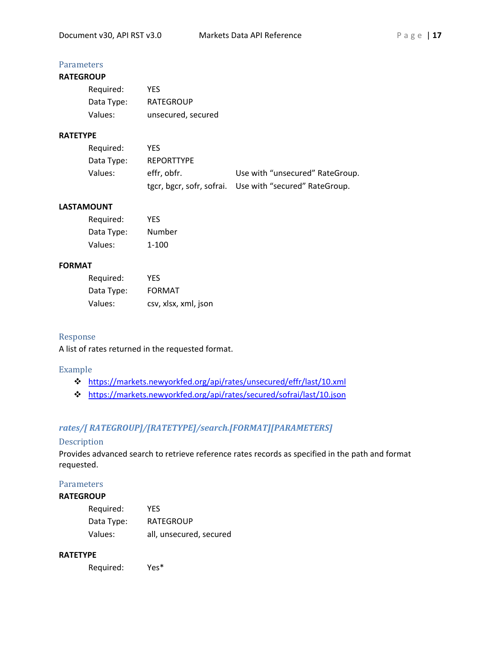# **Parameters**

# **RATEGROUP**

| Required:  | YFS                |
|------------|--------------------|
| Data Type: | <b>RATEGROUP</b>   |
| Values:    | unsecured, secured |

### **RATETYPE**

| Required:  | YFS.              |                                                         |
|------------|-------------------|---------------------------------------------------------|
| Data Type: | <b>REPORTTYPE</b> |                                                         |
| Values:    | effr, obfr.       | Use with "unsecured" RateGroup.                         |
|            |                   | tgcr, bgcr, sofr, sofrai. Use with "secured" RateGroup. |

# **LASTAMOUNT**

| Required:  | YFS    |
|------------|--------|
| Data Type: | Number |
| Values:    | 1-100  |

## **FORMAT**

| Required:  | YFS                  |
|------------|----------------------|
| Data Type: | <b>FORMAT</b>        |
| Values:    | csv, xlsx, xml, json |

#### Response

A list of rates returned in the requested format.

#### Example

- <https://markets.newyorkfed.org/api/rates/unsecured/effr/last/10.xml>
- <https://markets.newyorkfed.org/api/rates/secured/sofrai/last/10.json>

# *rates/[ RATEGROUP]/[RATETYPE]/search.[FORMAT][PARAMETERS]*

#### Description

Provides advanced search to retrieve reference rates records as specified in the path and format requested.

# **Parameters**

### **RATEGROUP**

| Required:  | YFS                     |
|------------|-------------------------|
| Data Type: | <b>RATEGROUP</b>        |
| Values:    | all, unsecured, secured |

#### **RATETYPE**

Required: Yes\*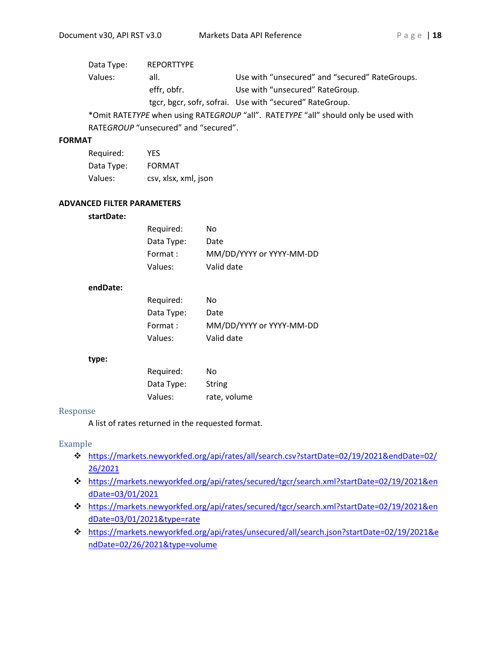| Data Type: | <b>REPORTTYPE</b> |                                                                                    |
|------------|-------------------|------------------------------------------------------------------------------------|
| Values:    | all.              | Use with "unsecured" and "secured" RateGroups.                                     |
|            | effr, obfr.       | Use with "unsecured" RateGroup.                                                    |
|            |                   | tgcr, bgcr, sofr, sofrai. Use with "secured" RateGroup.                            |
|            |                   | *Omit RATETYPE when using RATEGROUP "all". RATETYPE "all" should only be used with |

RATE*GROUP* "unsecured" and "secured".

#### **FORMAT**

| Required:  | YFS                  |
|------------|----------------------|
| Data Type: | <b>FORMAT</b>        |
| Values:    | csv, xlsx, xml, json |

#### **ADVANCED FILTER PARAMETERS**

#### **startDate:**

| Required:  | No                       |
|------------|--------------------------|
| Data Type: | Date                     |
| Format:    | MM/DD/YYYY or YYYY-MM-DD |
| Values:    | Valid date               |

#### **endDate:**

| Required:  | N٥                       |
|------------|--------------------------|
| Data Type: | Date                     |
| Format:    | MM/DD/YYYY or YYYY-MM-DD |
| Values:    | Valid date               |

#### **type:**

| Required:  | No           |
|------------|--------------|
| Data Type: | String       |
| Values:    | rate, volume |

#### Response

A list of rates returned in the requested format.

#### Example

- [https://markets.newyorkfed.org/api/rates/all/search.csv?startDate=02/19/2021&endDate=02/](https://markets.newyorkfed.org/api/rates/all/search.csv?startdate=02/19/2021&enddate=02/26/2021) [26/2021](https://markets.newyorkfed.org/api/rates/all/search.csv?startdate=02/19/2021&enddate=02/26/2021)
- [https://markets.newyorkfed.org/api/rates/secured/tgcr/search.xml?startDate=02/19/2021&en](https://markets.newyorkfed.org/api/rates/secured/tgcr/search.xml?startdate=02/19/2021&enddate=03/01/2021) [dDate=03/01/2021](https://markets.newyorkfed.org/api/rates/secured/tgcr/search.xml?startdate=02/19/2021&enddate=03/01/2021)
- [https://markets.newyorkfed.org/api/rates/secured/tgcr/search.xml?startDate=02/19/2021&en](https://markets.newyorkfed.org/api/rates/secured/tgcr/search.xml?startdate=02/19/2021&enddate=03/01/2021&type=rate) [dDate=03/01/2021&type=rate](https://markets.newyorkfed.org/api/rates/secured/tgcr/search.xml?startdate=02/19/2021&enddate=03/01/2021&type=rate)
- [https://markets.newyorkfed.org/api/rates/unsecured/all/search.json?startDate=02/19/2021&e](https://markets.newyorkfed.org/api/rates/unsecured/all/search.json?startdate=02/19/2021&enddate=02/26/2021&type=volume) [ndDate=02/26/2021&type=volume](https://markets.newyorkfed.org/api/rates/unsecured/all/search.json?startdate=02/19/2021&enddate=02/26/2021&type=volume)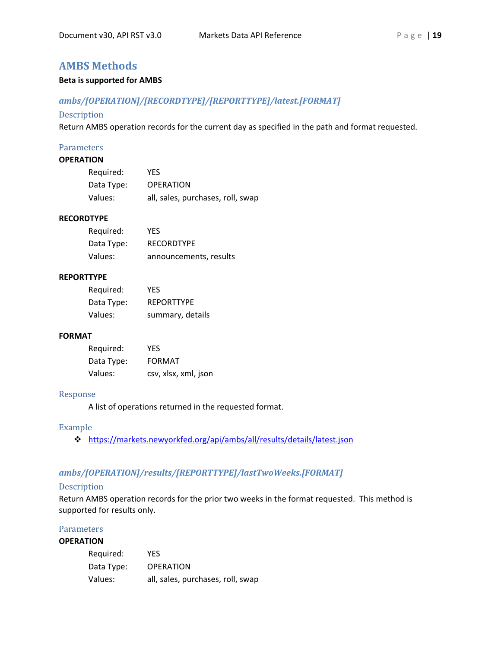# <span id="page-18-0"></span>**AMBS Methods**

#### **Beta is supported for AMBS**

### *ambs/[OPERATION]/[RECORDTYPE]/[REPORTTYPE]/latest.[FORMAT]*

#### Description

Return AMBS operation records for the current day as specified in the path and format requested.

#### **Parameters**

## **OPERATION**

| Required:  | YES                               |
|------------|-----------------------------------|
| Data Type: | <b>OPERATION</b>                  |
| Values:    | all, sales, purchases, roll, swap |

#### **RECORDTYPE**

| Required:  | YFS                    |
|------------|------------------------|
| Data Type: | <b>RECORDTYPE</b>      |
| Values:    | announcements, results |

#### **REPORTTYPE**

| Required:  | YES.              |
|------------|-------------------|
| Data Type: | <b>REPORTTYPE</b> |
| Values:    | summary, details  |

#### **FORMAT**

| Required:  | YFS                  |
|------------|----------------------|
| Data Type: | <b>FORMAT</b>        |
| Values:    | csv, xlsx, xml, json |

#### Response

A list of operations returned in the requested format.

## Example

<https://markets.newyorkfed.org/api/ambs/all/results/details/latest.json>

# *ambs/[OPERATION]/results/[REPORTTYPE]/lastTwoWeeks.[FORMAT]*

### Description

Return AMBS operation records for the prior two weeks in the format requested. This method is supported for results only.

#### **Parameters**

#### **OPERATION**

| Required:  | YES                               |
|------------|-----------------------------------|
| Data Type: | <b>OPERATION</b>                  |
| Values:    | all, sales, purchases, roll, swap |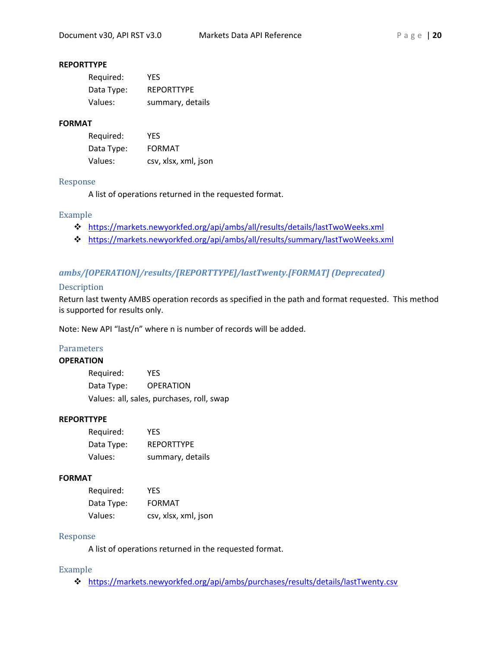#### **REPORTTYPE**

| Required:  | YES.              |
|------------|-------------------|
| Data Type: | <b>REPORTTYPE</b> |
| Values:    | summary, details  |

#### **FORMAT**

| Required:  | YFS                  |
|------------|----------------------|
| Data Type: | <b>FORMAT</b>        |
| Values:    | csv, xlsx, xml, json |

#### Response

A list of operations returned in the requested format.

#### Example

- <https://markets.newyorkfed.org/api/ambs/all/results/details/lastTwoWeeks.xml>
- <https://markets.newyorkfed.org/api/ambs/all/results/summary/lastTwoWeeks.xml>

# *ambs/[OPERATION]/results/[REPORTTYPE]/lastTwenty.[FORMAT] (Deprecated)*

#### **Description**

Return last twenty AMBS operation records as specified in the path and format requested. This method is supported for results only.

Note: New API "last/n" where n is number of records will be added.

#### **Parameters**

#### **OPERATION**

Required: YES Data Type: OPERATION Values: all, sales, purchases, roll, swap

#### **REPORTTYPE**

| Required:  | YFS               |
|------------|-------------------|
| Data Type: | <b>REPORTTYPE</b> |
| Values:    | summary, details  |

#### **FORMAT**

| Required:  | YFS                  |
|------------|----------------------|
| Data Type: | <b>FORMAT</b>        |
| Values:    | csv, xlsx, xml, json |

#### Response

A list of operations returned in the requested format.

#### Example

<https://markets.newyorkfed.org/api/ambs/purchases/results/details/lastTwenty.csv>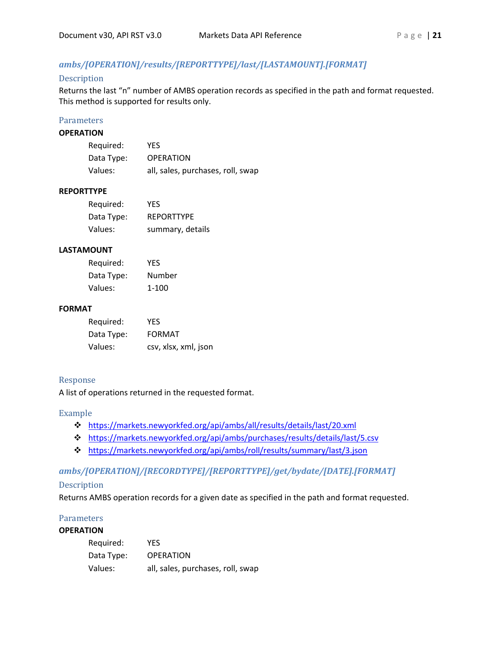# *ambs/[OPERATION]/results/[REPORTTYPE]/last/[LASTAMOUNT].[FORMAT]*

#### Description

Returns the last "n" number of AMBS operation records as specified in the path and format requested. This method is supported for results only.

#### **Parameters**

#### **OPERATION**

| Required:  | YES                               |
|------------|-----------------------------------|
| Data Type: | <b>OPERATION</b>                  |
| Values:    | all, sales, purchases, roll, swap |

#### **REPORTTYPE**

| Required:  | YFS               |
|------------|-------------------|
| Data Type: | <b>REPORTTYPE</b> |
| Values:    | summary, details  |

#### **LASTAMOUNT**

| Required:  | YFS    |
|------------|--------|
| Data Type: | Number |
| Values:    | 1-100  |

#### **FORMAT**

| Required:  | YFS                  |
|------------|----------------------|
| Data Type: | <b>FORMAT</b>        |
| Values:    | csv, xlsx, xml, json |

# Response

A list of operations returned in the requested format.

#### Example

- <https://markets.newyorkfed.org/api/ambs/all/results/details/last/20.xml>
- <https://markets.newyorkfed.org/api/ambs/purchases/results/details/last/5.csv>
- <https://markets.newyorkfed.org/api/ambs/roll/results/summary/last/3.json>

#### *ambs/[OPERATION]/[RECORDTYPE]/[REPORTTYPE]/get/bydate/[DATE].[FORMAT]*

#### Description

Returns AMBS operation records for a given date as specified in the path and format requested.

# **Parameters**

#### **OPERATION**

| Required:  | YFS                               |
|------------|-----------------------------------|
| Data Type: | <b>OPERATION</b>                  |
| Values:    | all, sales, purchases, roll, swap |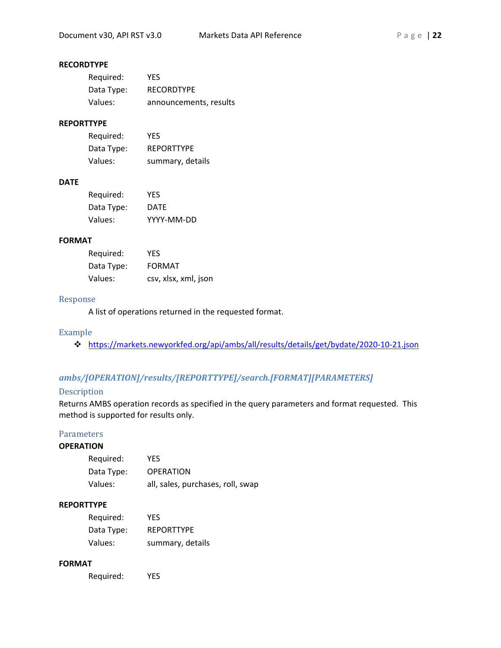# **RECORDTYPE**

| Required:  | YES.                   |
|------------|------------------------|
| Data Type: | <b>RECORDTYPE</b>      |
| Values:    | announcements, results |

# **REPORTTYPE**

| Required:  | YFS               |
|------------|-------------------|
| Data Type: | <b>REPORTTYPE</b> |
| Values:    | summary, details  |

# **DATE**

| Required:  | YFS         |
|------------|-------------|
| Data Type: | <b>DATE</b> |
| Values:    | YYYY-MM-DD  |

# **FORMAT**

| Required:  | YFS                  |
|------------|----------------------|
| Data Type: | <b>FORMAT</b>        |
| Values:    | csv, xlsx, xml, json |

#### Response

A list of operations returned in the requested format.

### Example

<https://markets.newyorkfed.org/api/ambs/all/results/details/get/bydate/2020-10-21.json>

# *ambs/[OPERATION]/results/[REPORTTYPE]/search.[FORMAT][PARAMETERS]*

# Description

Returns AMBS operation records as specified in the query parameters and format requested. This method is supported for results only.

# **Parameters**

# **OPERATION**

| Required:  | YFS                               |
|------------|-----------------------------------|
| Data Type: | <b>OPERATION</b>                  |
| Values:    | all, sales, purchases, roll, swap |

### **REPORTTYPE**

| Required:  | YFS               |
|------------|-------------------|
| Data Type: | <b>REPORTTYPE</b> |
| Values:    | summary, details  |

# **FORMAT**

Required: YES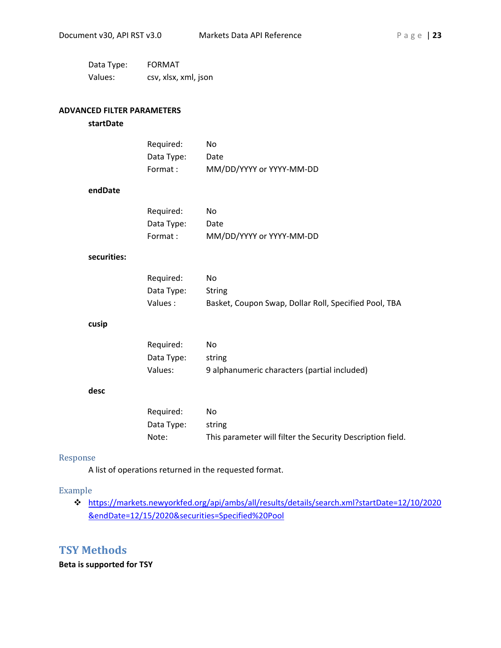| Data Type: | <b>FORMAT</b>        |
|------------|----------------------|
| Values:    | csv, xlsx, xml, json |

#### **ADVANCED FILTER PARAMETERS**

#### **startDate**

| Reguired:  | No                       |
|------------|--------------------------|
| Data Type: | Date                     |
| Format :   | MM/DD/YYYY or YYYY-MM-DD |

#### **endDate**

| Required:  | No                       |
|------------|--------------------------|
| Data Type: | Date                     |
| Format :   | MM/DD/YYYY or YYYY-MM-DD |

#### **securities:**

| Reguired:  | No.                                                   |
|------------|-------------------------------------------------------|
| Data Type: | <b>String</b>                                         |
| Values :   | Basket, Coupon Swap, Dollar Roll, Specified Pool, TBA |

#### **cusip**

| Required:  | Nο                                           |
|------------|----------------------------------------------|
| Data Type: | string                                       |
| Values:    | 9 alphanumeric characters (partial included) |

#### **desc**

| Required:  | N٥                                                         |
|------------|------------------------------------------------------------|
| Data Type: | string                                                     |
| Note:      | This parameter will filter the Security Description field. |

### Response

A list of operations returned in the requested format.

#### Example

 [https://markets.newyorkfed.org/api/ambs/all/results/details/search.xml?startDate=12/10/2020](https://markets.newyorkfed.org/api/ambs/all/results/details/search.xml?startdate=12/10/2020&enddate=12/15/2020&securities=Specified%20Pool) [&endDate=12/15/2020&securities=Specified%20Pool](https://markets.newyorkfed.org/api/ambs/all/results/details/search.xml?startdate=12/10/2020&enddate=12/15/2020&securities=Specified%20Pool)

# <span id="page-22-0"></span>**TSY Methods**

**Beta is supported for TSY**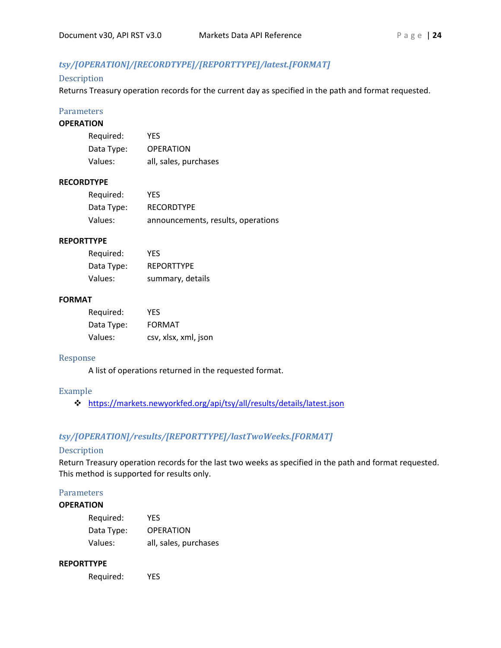# *tsy/[OPERATION]/[RECORDTYPE]/[REPORTTYPE]/latest.[FORMAT]*

#### Description

Returns Treasury operation records for the current day as specified in the path and format requested.

### **Parameters**

#### **OPERATION**

| Required:  | YFS                   |
|------------|-----------------------|
| Data Type: | <b>OPERATION</b>      |
| Values:    | all, sales, purchases |

#### **RECORDTYPE**

| Required:  | YES.                               |
|------------|------------------------------------|
| Data Type: | <b>RECORDTYPE</b>                  |
| Values:    | announcements, results, operations |

# **REPORTTYPE**

| Required:  | YFS               |
|------------|-------------------|
| Data Type: | <b>REPORTTYPE</b> |
| Values:    | summary, details  |

#### **FORMAT**

| Required:  | YFS                  |
|------------|----------------------|
| Data Type: | <b>FORMAT</b>        |
| Values:    | csv, xlsx, xml, json |

#### Response

A list of operations returned in the requested format.

#### Example

<https://markets.newyorkfed.org/api/tsy/all/results/details/latest.json>

# *tsy/[OPERATION]/results/[REPORTTYPE]/lastTwoWeeks.[FORMAT]*

# **Description**

Return Treasury operation records for the last two weeks as specified in the path and format requested. This method is supported for results only.

#### **Parameters**

### **OPERATION**

| Required:  | <b>YFS</b>            |
|------------|-----------------------|
| Data Type: | <b>OPERATION</b>      |
| Values:    | all, sales, purchases |

#### **REPORTTYPE**

Required: YES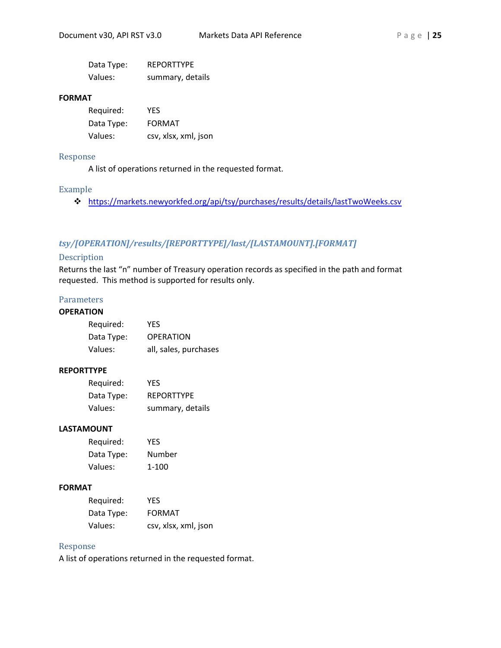| Data Type: | <b>REPORTTYPE</b> |
|------------|-------------------|
| Values:    | summary, details  |

#### **FORMAT**

| Required:  | YFS                  |
|------------|----------------------|
| Data Type: | FORMAT               |
| Values:    | csv, xlsx, xml, json |

#### Response

A list of operations returned in the requested format.

#### Example

<https://markets.newyorkfed.org/api/tsy/purchases/results/details/lastTwoWeeks.csv>

# *tsy/[OPERATION]/results/[REPORTTYPE]/last/[LASTAMOUNT].[FORMAT]*

### Description

Returns the last "n" number of Treasury operation records as specified in the path and format requested. This method is supported for results only.

# Parameters

## **OPERATION**

| Required:  | YFS                   |
|------------|-----------------------|
| Data Type: | <b>OPERATION</b>      |
| Values:    | all, sales, purchases |

#### **REPORTTYPE**

| Required:  | YES               |
|------------|-------------------|
| Data Type: | <b>REPORTTYPE</b> |
| Values:    | summary, details  |

## **LASTAMOUNT**

| Required:  | YFS    |
|------------|--------|
| Data Type: | Number |
| Values:    | 1-100  |

#### **FORMAT**

| Required:  | YFS                  |
|------------|----------------------|
| Data Type: | <b>FORMAT</b>        |
| Values:    | csv, xlsx, xml, json |

#### Response

A list of operations returned in the requested format.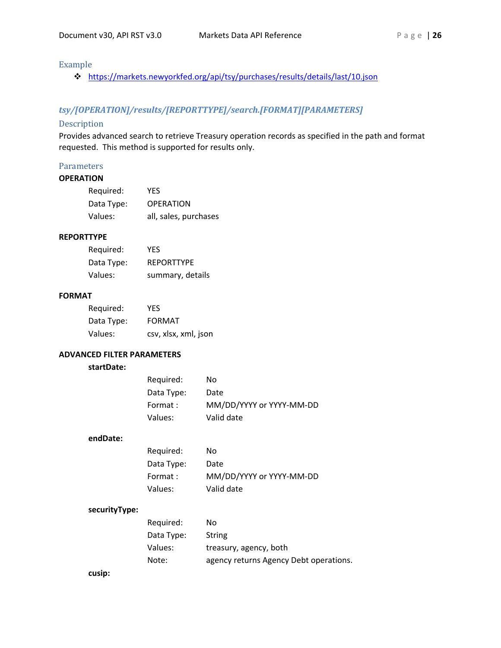# Example

<https://markets.newyorkfed.org/api/tsy/purchases/results/details/last/10.json>

# *tsy/[OPERATION]/results/[REPORTTYPE]/search.[FORMAT][PARAMETERS]*

#### Description

Provides advanced search to retrieve Treasury operation records as specified in the path and format requested. This method is supported for results only.

# Parameters

#### **OPERATION**

| Required:  | YES                   |
|------------|-----------------------|
| Data Type: | <b>OPERATION</b>      |
| Values:    | all, sales, purchases |

#### **REPORTTYPE**

| Required:  | YES.              |
|------------|-------------------|
| Data Type: | <b>REPORTTYPE</b> |
| Values:    | summary, details  |

#### **FORMAT**

| Required:  | YFS                  |
|------------|----------------------|
| Data Type: | <b>FORMAT</b>        |
| Values:    | csv, xlsx, xml, json |

#### **ADVANCED FILTER PARAMETERS**

#### **startDate:**

| Required:  | No                       |
|------------|--------------------------|
| Data Type: | Date                     |
| Format :   | MM/DD/YYYY or YYYY-MM-DD |
| Values:    | Valid date               |

#### **endDate:**

| Required:  | No                       |
|------------|--------------------------|
| Data Type: | Date                     |
| Format :   | MM/DD/YYYY or YYYY-MM-DD |
| Values:    | Valid date               |

#### **securityType:**

| Required:  | No                                     |
|------------|----------------------------------------|
| Data Type: | String                                 |
| Values:    | treasury, agency, both                 |
| Note:      | agency returns Agency Debt operations. |

#### **cusip:**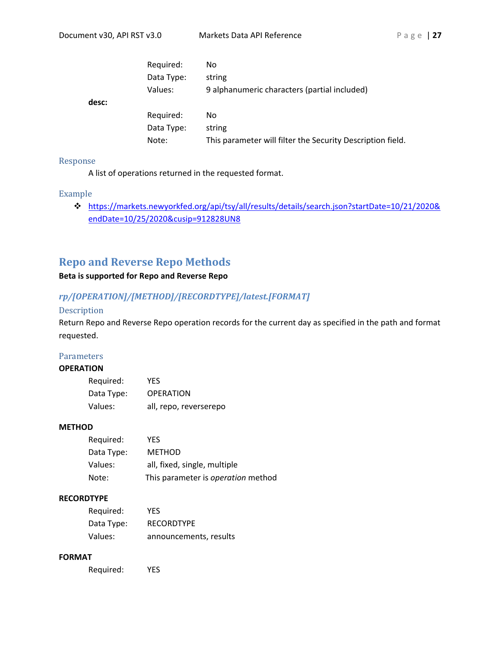**desc:**

| Required:  | No                                                         |
|------------|------------------------------------------------------------|
| Data Type: | string                                                     |
| Values:    | 9 alphanumeric characters (partial included)               |
|            |                                                            |
| Required:  | No.                                                        |
| Data Type: | string                                                     |
| Note:      | This parameter will filter the Security Description field. |
|            |                                                            |

#### Response

A list of operations returned in the requested format.

#### Example

 [https://markets.newyorkfed.org/api/tsy/all/results/details/search.json?startDate=10/21/2020&](http://markets.newyorkfed.org/api/tsy/all/results/details/search.json?startdate=10/21/2020&enddate=10/25/2020&cusip=912828UN8) [endDate=10/25/2020&cusip=912828UN8](http://markets.newyorkfed.org/api/tsy/all/results/details/search.json?startdate=10/21/2020&enddate=10/25/2020&cusip=912828UN8)

# <span id="page-26-0"></span>**Repo and Reverse Repo Methods**

# **Beta is supported for Repo and Reverse Repo**

# *rp/[OPERATION]/[METHOD]/[RECORDTYPE]/latest.[FORMAT]*

#### Description

Return Repo and Reverse Repo operation records for the current day as specified in the path and format requested.

### **Parameters**

#### **OPERATION**

| Required:  | YFS                    |
|------------|------------------------|
| Data Type: | <b>OPERATION</b>       |
| Values:    | all, repo, reverserepo |

#### **METHOD**

| Required:  | YFS                                |
|------------|------------------------------------|
| Data Type: | <b>METHOD</b>                      |
| Values:    | all, fixed, single, multiple       |
| Note:      | This parameter is operation method |

#### **RECORDTYPE**

| Required:  | YES.                   |
|------------|------------------------|
| Data Type: | <b>RECORDTYPE</b>      |
| Values:    | announcements, results |

#### **FORMAT**

Required: YES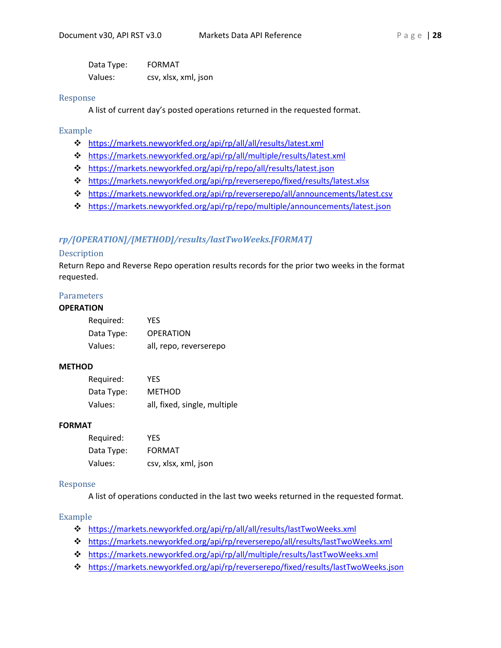Data Type: FORMAT Values: csv, xlsx, xml, json

#### Response

A list of current day's posted operations returned in the requested format.

# Example

- <https://markets.newyorkfed.org/api/rp/all/all/results/latest.xml>
- <https://markets.newyorkfed.org/api/rp/all/multiple/results/latest.xml>
- <https://markets.newyorkfed.org/api/rp/repo/all/results/latest.json>
- <https://markets.newyorkfed.org/api/rp/reverserepo/fixed/results/latest.xlsx>
- <https://markets.newyorkfed.org/api/rp/reverserepo/all/announcements/latest.csv>
- <https://markets.newyorkfed.org/api/rp/repo/multiple/announcements/latest.json>

# *rp/[OPERATION]/[METHOD]/results/lastTwoWeeks.[FORMAT]*

#### Description

Return Repo and Reverse Repo operation results records for the prior two weeks in the format requested.

## **Parameters**

### **OPERATION**

| Required:  | <b>YFS</b>             |
|------------|------------------------|
| Data Type: | <b>OPERATION</b>       |
| Values:    | all, repo, reverserepo |

#### **METHOD**

| Required:  | YFS                          |
|------------|------------------------------|
| Data Type: | METHOD                       |
| Values:    | all, fixed, single, multiple |

#### **FORMAT**

| Required:  | YFS                  |
|------------|----------------------|
| Data Type: | <b>FORMAT</b>        |
| Values:    | csv, xlsx, xml, json |

#### Response

A list of operations conducted in the last two weeks returned in the requested format.

#### Example

- <https://markets.newyorkfed.org/api/rp/all/all/results/lastTwoWeeks.xml>
- <https://markets.newyorkfed.org/api/rp/reverserepo/all/results/lastTwoWeeks.xml>
- <https://markets.newyorkfed.org/api/rp/all/multiple/results/lastTwoWeeks.xml>
- <https://markets.newyorkfed.org/api/rp/reverserepo/fixed/results/lastTwoWeeks.json>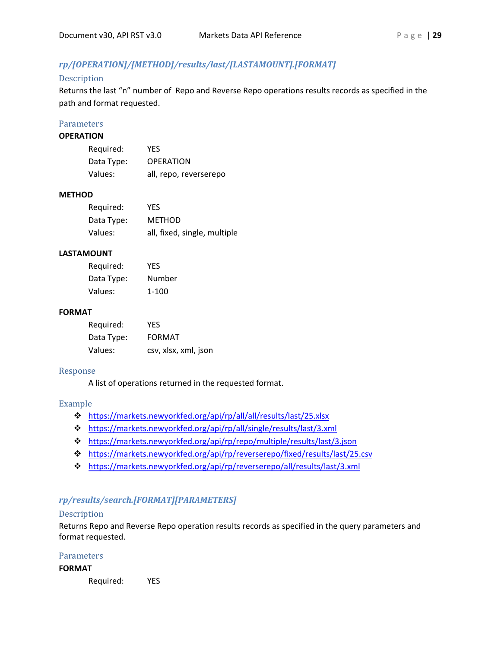# *rp/[OPERATION]/[METHOD]/results/last/[LASTAMOUNT].[FORMAT]*

# Description

Returns the last "n" number of Repo and Reverse Repo operations results records as specified in the path and format requested.

### **Parameters**

#### **OPERATION**

| Required:  | <b>YES</b>             |
|------------|------------------------|
| Data Type: | <b>OPERATION</b>       |
| Values:    | all, repo, reverserepo |

#### **METHOD**

| Required:  | YES                          |
|------------|------------------------------|
| Data Type: | METHOD                       |
| Values:    | all, fixed, single, multiple |

# **LASTAMOUNT**

| Required:  | YFS       |
|------------|-----------|
| Data Type: | Number    |
| Values:    | $1 - 100$ |

### **FORMAT**

| Required:  | YFS                  |
|------------|----------------------|
| Data Type: | <b>FORMAT</b>        |
| Values:    | csv, xlsx, xml, json |

#### Response

A list of operations returned in the requested format.

#### Example

- <https://markets.newyorkfed.org/api/rp/all/all/results/last/25.xlsx>
- <https://markets.newyorkfed.org/api/rp/all/single/results/last/3.xml>
- <https://markets.newyorkfed.org/api/rp/repo/multiple/results/last/3.json>
- <https://markets.newyorkfed.org/api/rp/reverserepo/fixed/results/last/25.csv>
- <https://markets.newyorkfed.org/api/rp/reverserepo/all/results/last/3.xml>

# *rp/results/search.[FORMAT][PARAMETERS]*

# Description

Returns Repo and Reverse Repo operation results records as specified in the query parameters and format requested.

# Parameters

#### **FORMAT**

Required: YES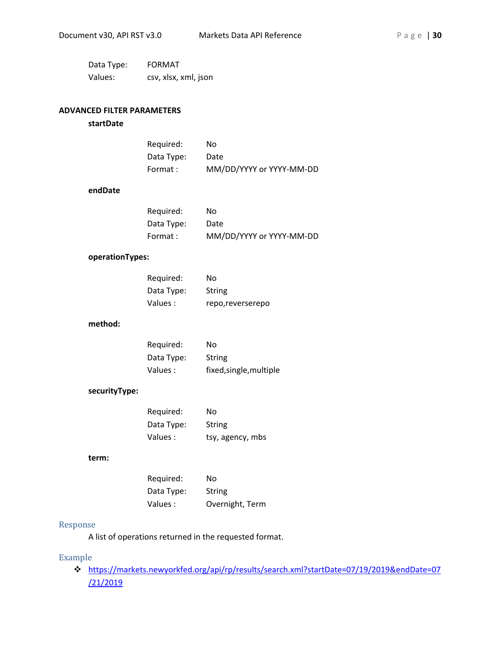| Data Type: | <b>FORMAT</b>        |
|------------|----------------------|
| Values:    | csv, xlsx, xml, json |

# **ADVANCED FILTER PARAMETERS**

#### **startDate**

| Reguired:  | No                       |
|------------|--------------------------|
| Data Type: | Date                     |
| Format :   | MM/DD/YYYY or YYYY-MM-DD |

#### **endDate**

| Required:  | No                       |
|------------|--------------------------|
| Data Type: | Date                     |
| Format :   | MM/DD/YYYY or YYYY-MM-DD |

#### **operationTypes:**

| Required:  | No               |
|------------|------------------|
| Data Type: | String           |
| Values :   | repo,reverserepo |

### **method:**

| Required:  | N٥                      |
|------------|-------------------------|
| Data Type: | String                  |
| Values :   | fixed, single, multiple |

# **securityType:**

| Required:  | No               |
|------------|------------------|
| Data Type: | String           |
| Values :   | tsy, agency, mbs |

#### **term:**

| Required:  | No              |
|------------|-----------------|
| Data Type: | String          |
| Values :   | Overnight, Term |

#### Response

A list of operations returned in the requested format.

#### Example

 [https://markets.newyorkfed.org/api/rp/results/search.xml?startDate=07/19/2019&endDate=07](https://markets.newyorkfed.org/api/rp/results/search.xml?startDate=07/19/2019&endDate=07/21/2019) [/21/2019](https://markets.newyorkfed.org/api/rp/results/search.xml?startDate=07/19/2019&endDate=07/21/2019)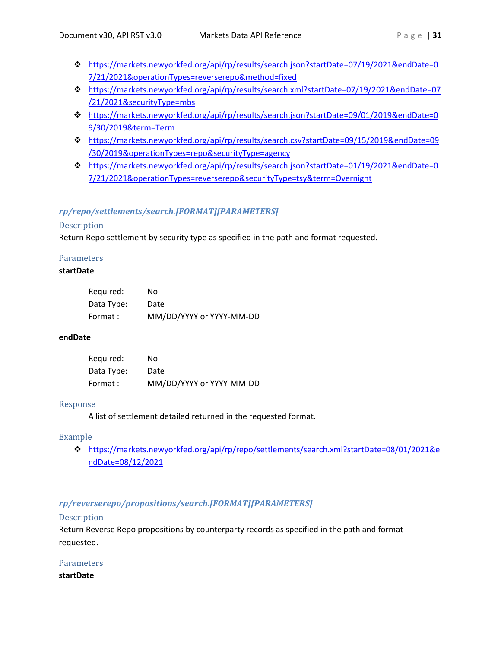- [https://markets.newyorkfed.org/api/rp/results/search.json?startDate=07/19/2021&endDate=0](https://markets.newyorkfed.org/api/rp/results/search.json?startDate=07/19/2021&endDate=07/21/2021&operationTypes=reverserepo&method=fixed) [7/21/2021&operationTypes=reverserepo&method=fixed](https://markets.newyorkfed.org/api/rp/results/search.json?startDate=07/19/2021&endDate=07/21/2021&operationTypes=reverserepo&method=fixed)
- [https://markets.newyorkfed.org/api/rp/results/search.xml?startDate=07/19/2021&endDate=07](https://markets.newyorkfed.org/api/rp/results/search.xml?startDate=07/19/2021&endDate=07/21/2021&securityType=mbs) [/21/2021&securityType=mbs](https://markets.newyorkfed.org/api/rp/results/search.xml?startDate=07/19/2021&endDate=07/21/2021&securityType=mbs)
- [https://markets.newyorkfed.org/api/rp/results/search.json?startDate=09/01/2019&endDate=0](https://markets.newyorkfed.org/api/rp/results/search.json?startDate=09/01/2019&endDate=09/30/2019&term=Term) [9/30/2019&term=Term](https://markets.newyorkfed.org/api/rp/results/search.json?startDate=09/01/2019&endDate=09/30/2019&term=Term)
- [https://markets.newyorkfed.org/api/rp/results/search.csv?startDate=09/15/2019&endDate=09](https://markets.newyorkfed.org/api/rp/results/search.csv?startDate=09/15/2019&endDate=09/30/2019&operationTypes=repo&securityType=agency) [/30/2019&operationTypes=repo&securityType=agency](https://markets.newyorkfed.org/api/rp/results/search.csv?startDate=09/15/2019&endDate=09/30/2019&operationTypes=repo&securityType=agency)
- [https://markets.newyorkfed.org/api/rp/results/search.json?startDate=01/19/2021&endDate=0](https://markets.newyorkfed.org/api/rp/results/search.json?startDate=01/19/2021&endDate=07/21/2021&operationTypes=reverserepo&securityType=tsy&term=Overnight) [7/21/2021&operationTypes=reverserepo&securityType=tsy&term=Overnight](https://markets.newyorkfed.org/api/rp/results/search.json?startDate=01/19/2021&endDate=07/21/2021&operationTypes=reverserepo&securityType=tsy&term=Overnight)

# *rp/repo/settlements/search.[FORMAT][PARAMETERS]*

# Description

Return Repo settlement by security type as specified in the path and format requested.

# **Parameters**

# **startDate**

| Required:  | No                       |
|------------|--------------------------|
| Data Type: | Date                     |
| Format :   | MM/DD/YYYY or YYYY-MM-DD |

# **endDate**

| Required:  | No                       |
|------------|--------------------------|
| Data Type: | Date                     |
| Format :   | MM/DD/YYYY or YYYY-MM-DD |

### Response

A list of settlement detailed returned in the requested format.

# Example

 [https://markets.newyorkfed.org/api/rp/repo/settlements/search.xml?startDate=08/01/2021&e](https://markets.newyorkfed.org/api/rp/repo/settlements/search.xml?startDate=08/01/2021&endDate=08/12/2021) [ndDate=08/12/2021](https://markets.newyorkfed.org/api/rp/repo/settlements/search.xml?startDate=08/01/2021&endDate=08/12/2021)

# *rp/reverserepo/propositions/search.[FORMAT][PARAMETERS]*

# Description

Return Reverse Repo propositions by counterparty records as specified in the path and format requested.

# **Parameters**

**startDate**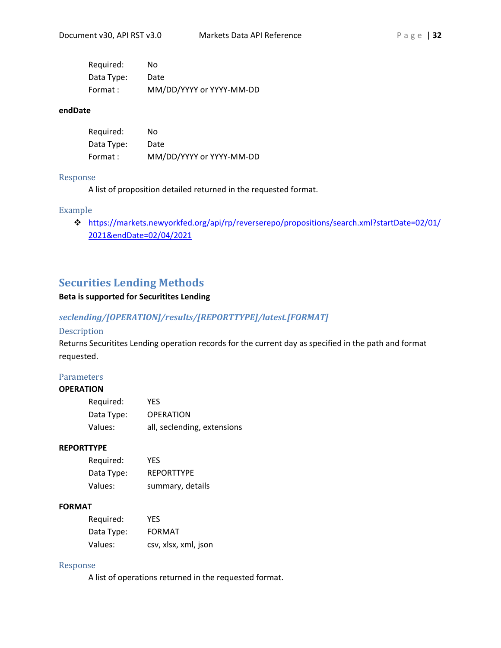| Required:  | No                       |
|------------|--------------------------|
| Data Type: | Date                     |
| Format:    | MM/DD/YYYY or YYYY-MM-DD |

#### **endDate**

| Required:  | No                       |
|------------|--------------------------|
| Data Type: | Date                     |
| Format :   | MM/DD/YYYY or YYYY-MM-DD |

#### Response

A list of proposition detailed returned in the requested format.

#### Example

 [https://markets.newyorkfed.org/api/rp/reverserepo/propositions/search.xml?startDate=02/01/](https://markets.newyorkfed.org/api/rp/reverserepo/propositions/search.xml?startDate=02/01/2021&endDate=02/04/2021) [2021&endDate=02/04/2021](https://markets.newyorkfed.org/api/rp/reverserepo/propositions/search.xml?startDate=02/01/2021&endDate=02/04/2021) 

# <span id="page-31-0"></span>**Securities Lending Methods**

# **Beta is supported for Securitites Lending**

# *seclending/[OPERATION]/results/[REPORTTYPE]/latest.[FORMAT]*

# Description

Returns Securitites Lending operation records for the current day as specified in the path and format requested.

# Parameters

#### **OPERATION**

| Required:  | YFS                         |
|------------|-----------------------------|
| Data Type: | <b>OPERATION</b>            |
| Values:    | all, seclending, extensions |

#### **REPORTTYPE**

| Required:  | <b>YFS</b>        |
|------------|-------------------|
| Data Type: | <b>REPORTTYPE</b> |
| Values:    | summary, details  |

# **FORMAT**

| Required:  | YFS                  |
|------------|----------------------|
| Data Type: | <b>FORMAT</b>        |
| Values:    | csv, xlsx, xml, json |

#### Response

A list of operations returned in the requested format.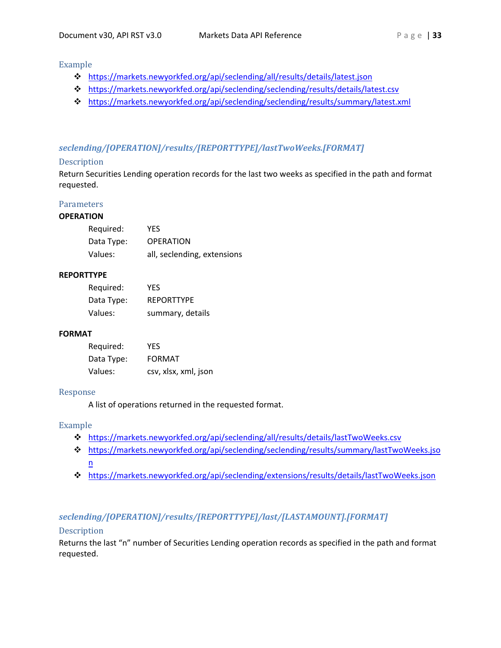## Example

- <https://markets.newyorkfed.org/api/seclending/all/results/details/latest.json>
- <https://markets.newyorkfed.org/api/seclending/seclending/results/details/latest.csv>
- <https://markets.newyorkfed.org/api/seclending/seclending/results/summary/latest.xml>

# *seclending/[OPERATION]/results/[REPORTTYPE]/lastTwoWeeks.[FORMAT]*

#### Description

Return Securities Lending operation records for the last two weeks as specified in the path and format requested.

#### **Parameters**

#### **OPERATION**

| Required:  | YES.                        |
|------------|-----------------------------|
| Data Type: | <b>OPERATION</b>            |
| Values:    | all, seclending, extensions |

#### **REPORTTYPE**

| Required:  | YFS               |
|------------|-------------------|
| Data Type: | <b>REPORTTYPE</b> |
| Values:    | summary, details  |

# **FORMAT**

| Required:  | YFS                  |
|------------|----------------------|
| Data Type: | <b>FORMAT</b>        |
| Values:    | csv, xlsx, xml, json |

#### Response

A list of operations returned in the requested format.

# Example

- <https://markets.newyorkfed.org/api/seclending/all/results/details/lastTwoWeeks.csv>
- [https://markets.newyorkfed.org/api/seclending/seclending/results/summary/lastTwoWeeks.jso](https://markets.newyorkfed.org/api/seclending/seclending/results/summary/lastTwoWeeks.json) [n](https://markets.newyorkfed.org/api/seclending/seclending/results/summary/lastTwoWeeks.json)
- <https://markets.newyorkfed.org/api/seclending/extensions/results/details/lastTwoWeeks.json>

# *seclending/[OPERATION]/results/[REPORTTYPE]/last/[LASTAMOUNT].[FORMAT]*

# Description

Returns the last "n" number of Securities Lending operation records as specified in the path and format requested.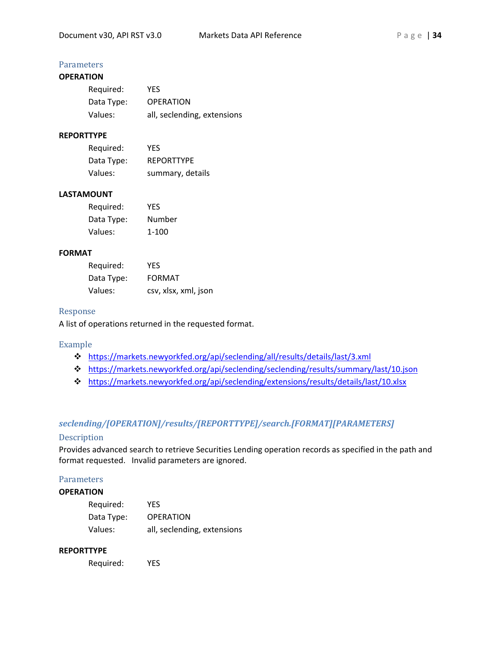# **Parameters**

# **OPERATION**

| Required:  | YES.                        |
|------------|-----------------------------|
| Data Type: | <b>OPERATION</b>            |
| Values:    | all, seclending, extensions |

# **REPORTTYPE**

| Required:  | YFS               |
|------------|-------------------|
| Data Type: | <b>REPORTTYPE</b> |
| Values:    | summary, details  |

#### **LASTAMOUNT**

| Required:  | YFS    |
|------------|--------|
| Data Type: | Number |
| Values:    | 1-100  |

#### **FORMAT**

| Required:  | YFS                  |
|------------|----------------------|
| Data Type: | <b>FORMAT</b>        |
| Values:    | csv, xlsx, xml, json |

#### Response

A list of operations returned in the requested format.

#### Example

- <https://markets.newyorkfed.org/api/seclending/all/results/details/last/3.xml>
- <https://markets.newyorkfed.org/api/seclending/seclending/results/summary/last/10.json>
- <https://markets.newyorkfed.org/api/seclending/extensions/results/details/last/10.xlsx>

# *seclending/[OPERATION]/results/[REPORTTYPE]/search.[FORMAT][PARAMETERS]*

# Description

Provides advanced search to retrieve Securities Lending operation records as specified in the path and format requested. Invalid parameters are ignored.

#### **Parameters**

# **OPERATION**

| Required:  | YES                         |
|------------|-----------------------------|
| Data Type: | <b>OPERATION</b>            |
| Values:    | all, seclending, extensions |

#### **REPORTTYPE**

Required: YES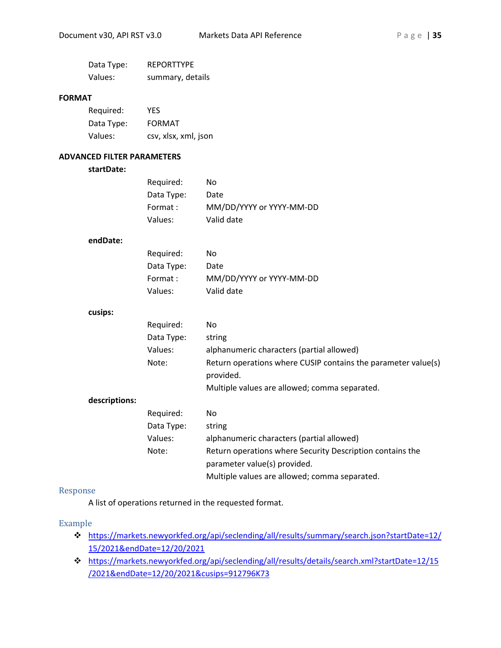| Data Type: | <b>REPORTTYPE</b> |
|------------|-------------------|
| Values:    | summary, details  |

#### **FORMAT**

| Required:  | <b>YES</b>           |
|------------|----------------------|
| Data Type: | <b>FORMAT</b>        |
| Values:    | csv, xlsx, xml, json |

#### **ADVANCED FILTER PARAMETERS**

#### **startDate:**

| Required:  | No                       |
|------------|--------------------------|
| Data Type: | Date                     |
| Format :   | MM/DD/YYYY or YYYY-MM-DD |
| Values:    | Valid date               |

#### **endDate:**

| Required:  | No                       |
|------------|--------------------------|
| Data Type: | Date                     |
| Format :   | MM/DD/YYYY or YYYY-MM-DD |
| Values:    | Valid date               |

#### **cusips:**

|               | Required:  | No.                                                                                       |
|---------------|------------|-------------------------------------------------------------------------------------------|
|               | Data Type: | string                                                                                    |
|               | Values:    | alphanumeric characters (partial allowed)                                                 |
|               | Note:      | Return operations where CUSIP contains the parameter value(s)<br>provided.                |
|               |            | Multiple values are allowed; comma separated.                                             |
| descriptions: |            |                                                                                           |
|               | Required:  | No.                                                                                       |
|               | Data Type: | string                                                                                    |
|               | Values:    | alphanumeric characters (partial allowed)                                                 |
|               | Note:      | Return operations where Security Description contains the<br>parameter value(s) provided. |

Multiple values are allowed; comma separated.

#### Response

A list of operations returned in the requested format.

# Example

- [https://markets.newyorkfed.org/api/seclending/all/results/summary/search.json?startDate=12/](https://markets.newyorkfed.org/api/seclending/all/results/summary/search.json?startDate=12/15/2021&endDate=12/20/2021) [15/2021&endDate=12/20/2021](https://markets.newyorkfed.org/api/seclending/all/results/summary/search.json?startDate=12/15/2021&endDate=12/20/2021)
- [https://markets.newyorkfed.org/api/seclending/all/results/details/search.xml?startDate=12/15](https://markets.newyorkfed.org/api/seclending/all/results/details/search.xml?startDate=12/15/2021&endDate=12/20/2021&cusips=912796K73) [/2021&endDate=12/20/2021&cusips=912796K73](https://markets.newyorkfed.org/api/seclending/all/results/details/search.xml?startDate=12/15/2021&endDate=12/20/2021&cusips=912796K73)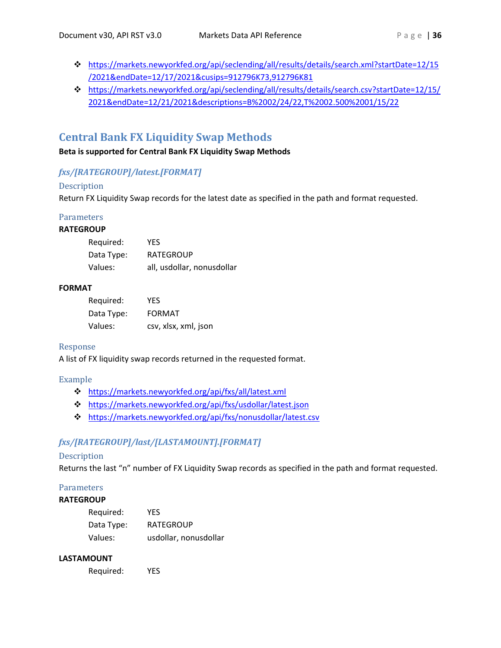- [https://markets.newyorkfed.org/api/seclending/all/results/details/search.xml?startDate=12/15](https://markets.newyorkfed.org/api/seclending/all/results/details/search.xml?startDate=12/15/2021&endDate=12/17/2021&cusips=912796K73,912796K81) [/2021&endDate=12/17/2021&cusips=912796K73,912796K81](https://markets.newyorkfed.org/api/seclending/all/results/details/search.xml?startDate=12/15/2021&endDate=12/17/2021&cusips=912796K73,912796K81)
- [https://markets.newyorkfed.org/api/seclending/all/results/details/search.csv?startDate=12/15/](https://markets.newyorkfed.org/api/seclending/all/results/details/search.csv?startDate=12/15/2021&endDate=12/21/2021&descriptions=B%2002/24/22,T%2002.500%2001/15/22) [2021&endDate=12/21/2021&descriptions=B%2002/24/22,T%2002.500%2001/15/22](https://markets.newyorkfed.org/api/seclending/all/results/details/search.csv?startDate=12/15/2021&endDate=12/21/2021&descriptions=B%2002/24/22,T%2002.500%2001/15/22)

# <span id="page-35-0"></span>**Central Bank FX Liquidity Swap Methods**

**Beta is supported for Central Bank FX Liquidity Swap Methods**

# *fxs/[RATEGROUP]/latest.[FORMAT]*

# Description

Return FX Liquidity Swap records for the latest date as specified in the path and format requested.

#### **Parameters RATEGROUP**

| Required:  | YFS                        |
|------------|----------------------------|
| Data Type: | <b>RATEGROUP</b>           |
| Values:    | all, usdollar, nonusdollar |

# **FORMAT**

| Required:  | YFS                  |
|------------|----------------------|
| Data Type: | FORMAT               |
| Values:    | csv, xlsx, xml, json |

# Response

A list of FX liquidity swap records returned in the requested format.

# Example

- <https://markets.newyorkfed.org/api/fxs/all/latest.xml>
- <https://markets.newyorkfed.org/api/fxs/usdollar/latest.json>
- <https://markets.newyorkfed.org/api/fxs/nonusdollar/latest.csv>

# *fxs/[RATEGROUP]/last/[LASTAMOUNT].[FORMAT]*

# Description

Returns the last "n" number of FX Liquidity Swap records as specified in the path and format requested.

# **Parameters**

# **RATEGROUP**

| Required:  | <b>YES</b>            |
|------------|-----------------------|
| Data Type: | <b>RATEGROUP</b>      |
| Values:    | usdollar, nonusdollar |

# **LASTAMOUNT**

Required: YES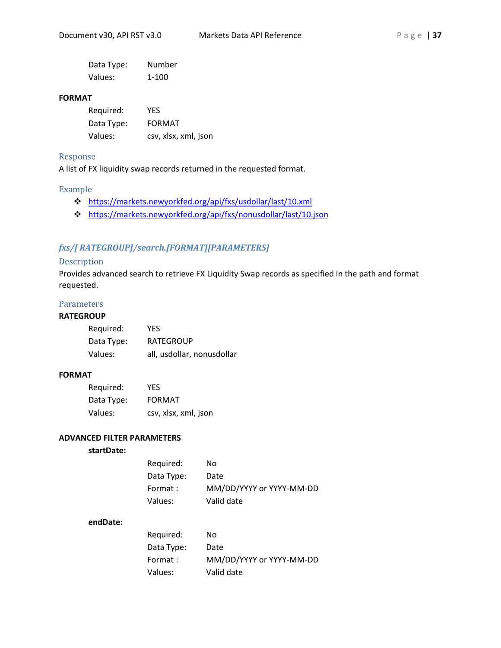| Data Type: | Number |
|------------|--------|
| Values:    | 1-100  |

#### **FORMAT**

| Required:  | YFS                  |
|------------|----------------------|
| Data Type: | <b>FORMAT</b>        |
| Values:    | csv, xlsx, xml, json |

#### Response

A list of FX liquidity swap records returned in the requested format.

#### Example

- <https://markets.newyorkfed.org/api/fxs/usdollar/last/10.xml>
- <https://markets.newyorkfed.org/api/fxs/nonusdollar/last/10.json>

# *fxs/[ RATEGROUP]/search.[FORMAT][PARAMETERS]*

#### Description

Provides advanced search to retrieve FX Liquidity Swap records as specified in the path and format requested.

# **Parameters**

#### **RATEGROUP**

| Required:  | YFS                        |
|------------|----------------------------|
| Data Type: | <b>RATEGROUP</b>           |
| Values:    | all, usdollar, nonusdollar |

### **FORMAT**

| Required:  | YES.                 |
|------------|----------------------|
| Data Type: | <b>FORMAT</b>        |
| Values:    | csv, xlsx, xml, json |

#### **ADVANCED FILTER PARAMETERS**

# **startDate:**

| Required:  | No                       |
|------------|--------------------------|
| Data Type: | Date                     |
| Format :   | MM/DD/YYYY or YYYY-MM-DD |
| Values:    | Valid date               |

#### **endDate:**

| Required:  | No                       |
|------------|--------------------------|
| Data Type: | Date                     |
| Format :   | MM/DD/YYYY or YYYY-MM-DD |
| Values:    | Valid date               |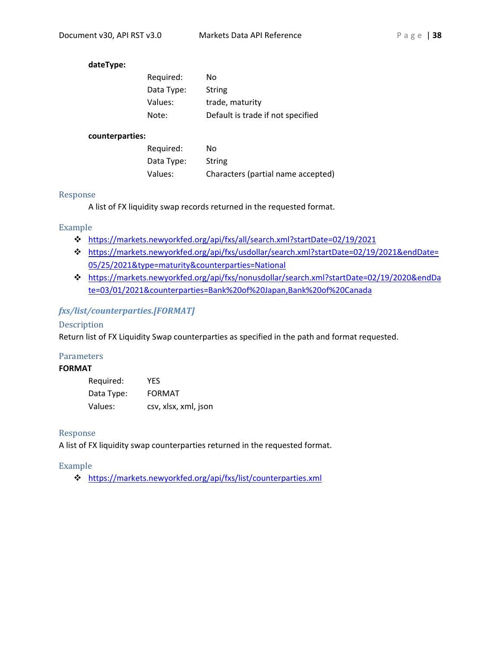# **dateType:**

| Required:  | No                                |
|------------|-----------------------------------|
| Data Type: | String                            |
| Values:    | trade, maturity                   |
| Note:      | Default is trade if not specified |

#### **counterparties:**

| Required:  | No                                 |
|------------|------------------------------------|
| Data Type: | String                             |
| Values:    | Characters (partial name accepted) |

#### Response

A list of FX liquidity swap records returned in the requested format.

# Example

- [https://markets.newyorkfed.org/api/fxs/all/search.xml?startDate=02/19/2021](https://markets.newyorkfed.org/api/fxs/all/search.xml?startdate=02/19/2021)
- [https://markets.newyorkfed.org/api/fxs/usdollar/search.xml?startDate=02/19/2021&endDate=](https://markets.newyorkfed.org/api/fxs/usdollar/search.xml?startdate=02/19/2021&enddate=05/25/2021&type=maturity&counterparties=National%20%20) [05/25/2021&type=maturity&counterparties=National](https://markets.newyorkfed.org/api/fxs/usdollar/search.xml?startdate=02/19/2021&enddate=05/25/2021&type=maturity&counterparties=National%20%20)
- [https://markets.newyorkfed.org/api/fxs/nonusdollar/search.xml?startDate=02/19/2020&endDa](https://markets.newyorkfed.org/api/fxs/nonusdollar/search.xml?startdate=02/19/2020&enddate=03/01/2021&counterparties=Bank%20of%20Japan,Bank%20of%20Canada) [te=03/01/2021&counterparties=Bank%20of%20Japan,Bank%20of%20Canada](https://markets.newyorkfed.org/api/fxs/nonusdollar/search.xml?startdate=02/19/2020&enddate=03/01/2021&counterparties=Bank%20of%20Japan,Bank%20of%20Canada)

# *fxs/list/counterparties.[FORMAT]*

### Description

Return list of FX Liquidity Swap counterparties as specified in the path and format requested.

#### **Parameters**

#### **FORMAT**

| Required:  | YFS                  |
|------------|----------------------|
| Data Type: | <b>FORMAT</b>        |
| Values:    | csv, xlsx, xml, json |

#### Response

A list of FX liquidity swap counterparties returned in the requested format.

#### Example

<https://markets.newyorkfed.org/api/fxs/list/counterparties.xml>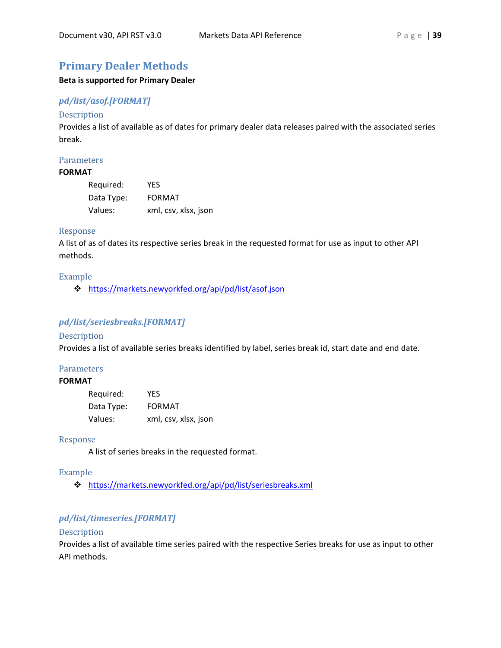# <span id="page-38-0"></span>**Primary Dealer Methods**

#### **Beta is supported for Primary Dealer**

# *pd/list/asof.[FORMAT]*

#### Description

Provides a list of available as of dates for primary dealer data releases paired with the associated series break.

### Parameters

# **FORMAT**

| Required:  | YES                  |
|------------|----------------------|
| Data Type: | <b>FORMAT</b>        |
| Values:    | xml, csv, xlsx, json |

#### Response

A list of as of dates its respective series break in the requested format for use as input to other API methods.

#### Example

<https://markets.newyorkfed.org/api/pd/list/asof.json>

# *pd/list/seriesbreaks.[FORMAT]*

#### Description

Provides a list of available series breaks identified by label, series break id, start date and end date.

#### Parameters

#### **FORMAT**

| Required:  | YFS                  |
|------------|----------------------|
| Data Type: | <b>FORMAT</b>        |
| Values:    | xml, csv, xlsx, json |

#### Response

A list of series breaks in the requested format.

#### Example

<https://markets.newyorkfed.org/api/pd/list/seriesbreaks.xml>

# *pd/list/timeseries.[FORMAT]*

#### Description

Provides a list of available time series paired with the respective Series breaks for use as input to other API methods.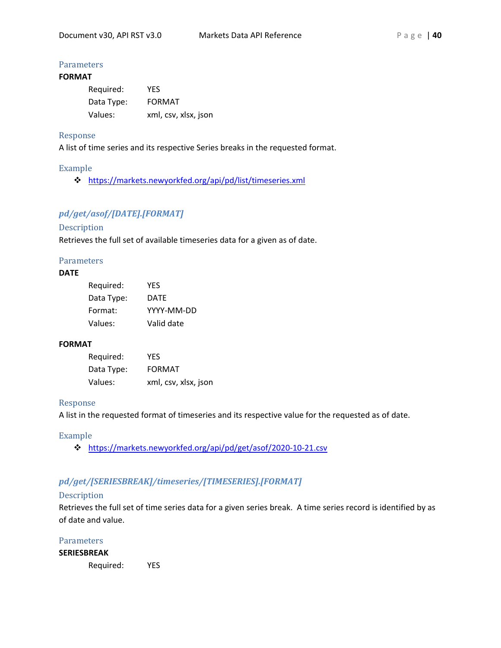# **Parameters**

# **FORMAT**

| Required:  | YFS                  |
|------------|----------------------|
| Data Type: | <b>FORMAT</b>        |
| Values:    | xml, csv, xlsx, json |

#### Response

A list of time series and its respective Series breaks in the requested format.

#### Example

<https://markets.newyorkfed.org/api/pd/list/timeseries.xml>

# *pd/get/asof/[DATE].[FORMAT]*

#### Description

Retrieves the full set of available timeseries data for a given as of date.

#### **Parameters**

# **DATE**

| Required:  | YES        |
|------------|------------|
| Data Type: | DATE       |
| Format:    | YYYY-MM-DD |
| Values:    | Valid date |

### **FORMAT**

| Required:  | <b>YES</b>           |
|------------|----------------------|
| Data Type: | <b>FORMAT</b>        |
| Values:    | xml, csv, xlsx, json |

#### Response

A list in the requested format of timeseries and its respective value for the requested as of date.

#### Example

<https://markets.newyorkfed.org/api/pd/get/asof/2020-10-21.csv>

# *pd/get/[SERIESBREAK]/timeseries/[TIMESERIES].[FORMAT]*

#### Description

Retrieves the full set of time series data for a given series break. A time series record is identified by as of date and value.

# **Parameters**

#### **SERIESBREAK**

Required: YES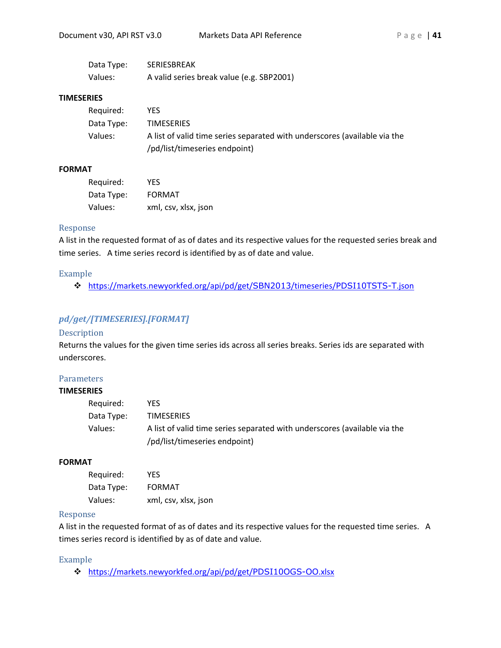| Data Type: | <b>SERIESBREAK</b>                        |
|------------|-------------------------------------------|
| Values:    | A valid series break value (e.g. SBP2001) |

#### **TIMESERIES**

| Required:  | YFS.                                                                      |
|------------|---------------------------------------------------------------------------|
| Data Type: | <b>TIMESERIES</b>                                                         |
| Values:    | A list of valid time series separated with underscores (available via the |
|            | /pd/list/timeseries endpoint)                                             |

#### **FORMAT**

| Required:  | YFS                  |
|------------|----------------------|
| Data Type: | <b>FORMAT</b>        |
| Values:    | xml, csv, xlsx, json |

#### Response

A list in the requested format of as of dates and its respective values for the requested series break and time series. A time series record is identified by as of date and value.

#### Example

[https://markets.newyorkfed.org/api/pd/get/](https://markets.newyorkfed.org/api/pd/get/SBN2013/timeseries/PDSI10TSTS-T.json)SBN2013/timeseries/PDSI10TSTS-T.json

#### *pd/get/[TIMESERIES].[FORMAT]*

### Description

Returns the values for the given time series ids across all series breaks. Series ids are separated with underscores.

# **Parameters**

#### **TIMESERIES**

| Required:  | YFS.                                                                      |
|------------|---------------------------------------------------------------------------|
| Data Type: | <b>TIMESERIES</b>                                                         |
| Values:    | A list of valid time series separated with underscores (available via the |
|            | /pd/list/timeseries endpoint)                                             |

#### **FORMAT**

| Required:  | YFS                  |
|------------|----------------------|
| Data Type: | <b>FORMAT</b>        |
| Values:    | xml, csv, xlsx, json |

### Response

A list in the requested format of as of dates and its respective values for the requested time series. A times series record is identified by as of date and value.

#### Example

[https://markets.newyorkfed.org/api/pd/get/](https://markets.newyorkfed.org/api/pd/get/PDSI10OGS-OO.xlsx)PDSI10OGS-OO.xlsx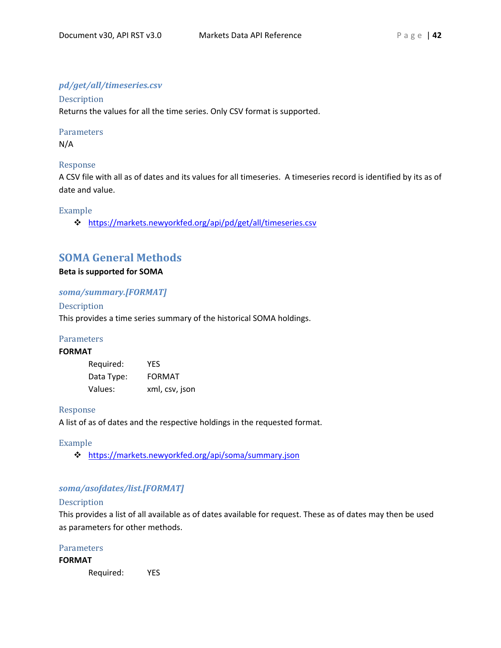# *pd/get/all/timeseries.csv*

Description Returns the values for all the time series. Only CSV format is supported.

# Parameters

N/A

#### Response

A CSV file with all as of dates and its values for all timeseries. A timeseries record is identified by its as of date and value.

#### Example

<https://markets.newyorkfed.org/api/pd/get/all/timeseries.csv>

# <span id="page-41-0"></span>**SOMA General Methods**

#### **Beta is supported for SOMA**

#### *soma/summary.[FORMAT]*

#### Description

This provides a time series summary of the historical SOMA holdings.

#### **Parameters**

# **FORMAT**

| Required:  | YFS            |
|------------|----------------|
| Data Type: | <b>FORMAT</b>  |
| Values:    | xml, csv, json |

#### Response

A list of as of dates and the respective holdings in the requested format.

#### Example

<https://markets.newyorkfed.org/api/soma/summary.json>

# *soma/asofdates/list.[FORMAT]*

#### Description

This provides a list of all available as of dates available for request. These as of dates may then be used as parameters for other methods.

#### **Parameters**

#### **FORMAT**

Required: YES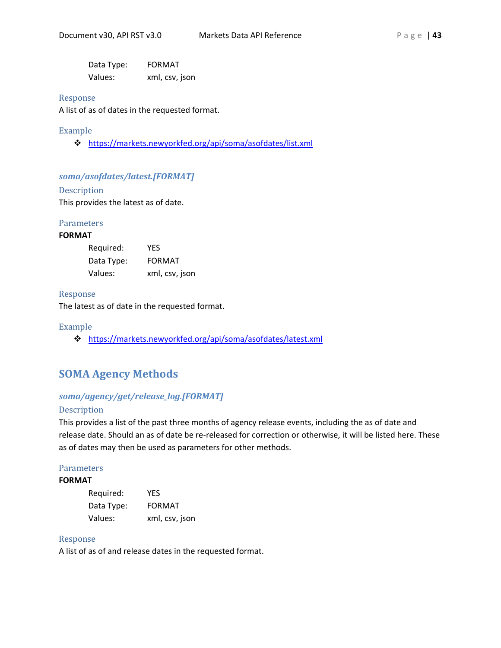Data Type: FORMAT Values: xml, csv, json

#### Response

A list of as of dates in the requested format.

### Example

<https://markets.newyorkfed.org/api/soma/asofdates/list.xml>

#### *soma/asofdates/latest.[FORMAT]*

Description

This provides the latest as of date.

#### **Parameters**

#### **FORMAT**

| Required:  | YFS            |
|------------|----------------|
| Data Type: | <b>FORMAT</b>  |
| Values:    | xml, csv, json |

#### Response

The latest as of date in the requested format.

#### Example

<https://markets.newyorkfed.org/api/soma/asofdates/latest.xml>

# <span id="page-42-0"></span>**SOMA Agency Methods**

### *soma/agency/get/release\_log.[FORMAT]*

#### Description

This provides a list of the past three months of agency release events, including the as of date and release date. Should an as of date be re-released for correction or otherwise, it will be listed here. These as of dates may then be used as parameters for other methods.

#### **Parameters**

#### **FORMAT**

| Required:  | <b>YFS</b>     |
|------------|----------------|
| Data Type: | <b>FORMAT</b>  |
| Values:    | xml, csv, json |

#### Response

A list of as of and release dates in the requested format.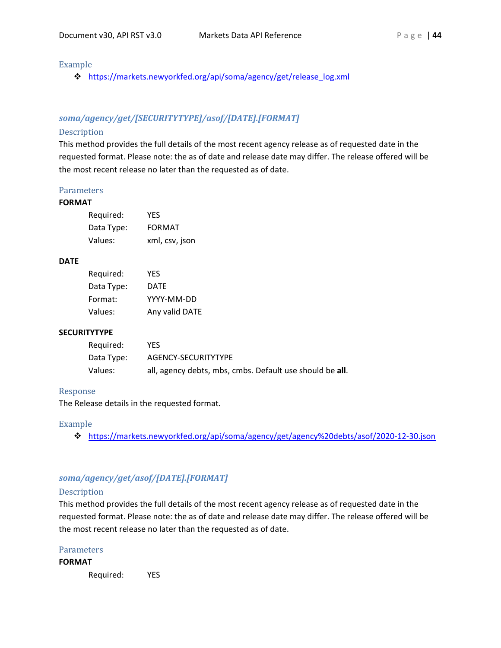#### Example

[https://markets.newyorkfed.org/api/soma/agency/get/release\\_log.xml](https://markets.newyorkfed.org/api/soma/agency/get/release_log.xml)

# *soma/agency/get/[SECURITYTYPE]/asof/[DATE].[FORMAT]*

#### Description

This method provides the full details of the most recent agency release as of requested date in the requested format. Please note: the as of date and release date may differ. The release offered will be the most recent release no later than the requested as of date.

#### **Parameters**

#### **FORMAT**

| Required:  | <b>YFS</b>     |
|------------|----------------|
| Data Type: | <b>FORMAT</b>  |
| Values:    | xml, csv, json |

#### **DATE**

| Required:  | YFS            |
|------------|----------------|
| Data Type: | DATE           |
| Format:    | YYYY-MM-DD     |
| Values:    | Any valid DATE |

#### **SECURITYTYPE**

| Reguired:  | YFS.                                                     |
|------------|----------------------------------------------------------|
| Data Type: | AGENCY-SECURITYTYPE                                      |
| Values:    | all, agency debts, mbs, cmbs. Default use should be all. |

#### Response

The Release details in the requested format.

#### Example

<https://markets.newyorkfed.org/api/soma/agency/get/agency%20debts/asof/2020-12-30.json>

# *soma/agency/get/asof/[DATE].[FORMAT]*

#### Description

This method provides the full details of the most recent agency release as of requested date in the requested format. Please note: the as of date and release date may differ. The release offered will be the most recent release no later than the requested as of date.

#### **Parameters**

#### **FORMAT**

Required: YES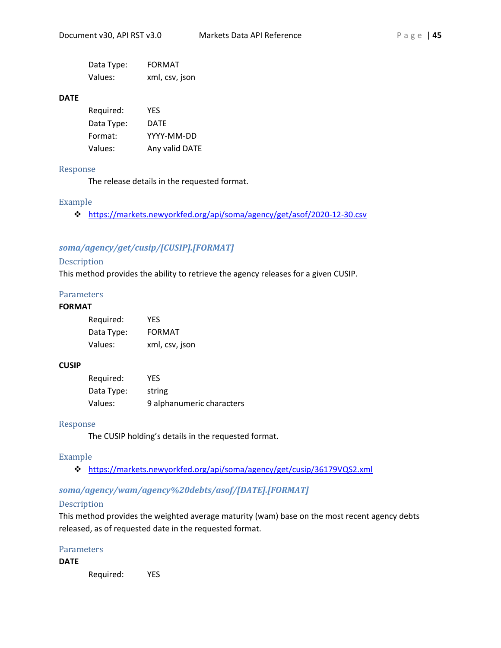| Data Type: | <b>FORMAT</b>  |
|------------|----------------|
| Values:    | xml, csv, json |

#### **DATE**

| Required:  | YFS            |
|------------|----------------|
| Data Type: | DATE           |
| Format:    | YYYY-MM-DD     |
| Values:    | Any valid DATE |

#### Response

The release details in the requested format.

#### Example

<https://markets.newyorkfed.org/api/soma/agency/get/asof/2020-12-30.csv>

# *soma/agency/get/cusip/[CUSIP].[FORMAT]*

### Description

This method provides the ability to retrieve the agency releases for a given CUSIP.

#### Parameters

#### **FORMAT**

| Required:  | YFS            |
|------------|----------------|
| Data Type: | <b>FORMAT</b>  |
| Values:    | xml, csv, json |

#### **CUSIP**

| Required:  | YES.                      |
|------------|---------------------------|
| Data Type: | string                    |
| Values:    | 9 alphanumeric characters |

#### Response

The CUSIP holding's details in the requested format.

#### Example

<https://markets.newyorkfed.org/api/soma/agency/get/cusip/36179VQS2.xml>

#### *soma/agency/wam/agency%20debts/asof/[DATE].[FORMAT]*

#### Description

This method provides the weighted average maturity (wam) base on the most recent agency debts released, as of requested date in the requested format.

## Parameters

#### **DATE**

Required: YES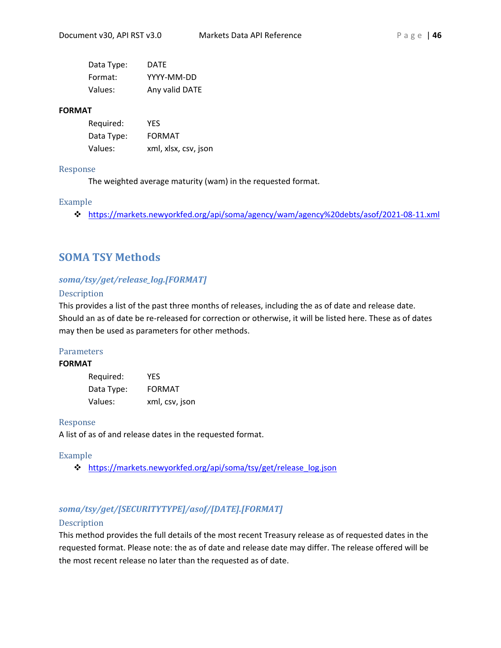| Data Type: | DATE           |
|------------|----------------|
| Format:    | YYYY-MM-DD     |
| Values:    | Any valid DATE |

#### **FORMAT**

| Required:  | YES                  |
|------------|----------------------|
| Data Type: | <b>FORMAT</b>        |
| Values:    | xml, xlsx, csv, json |

#### Response

The weighted average maturity (wam) in the requested format.

# Example

https://markets.newyorkfed.org/api/soma/agency/wam/agency%20debts/asof/2021-08-11.xml

# <span id="page-45-0"></span>**SOMA TSY Methods**

# *soma/tsy/get/release\_log.[FORMAT]*

# Description

This provides a list of the past three months of releases, including the as of date and release date. Should an as of date be re-released for correction or otherwise, it will be listed here. These as of dates may then be used as parameters for other methods.

# Parameters

# **FORMAT**

| Required:  | <b>YFS</b>     |
|------------|----------------|
| Data Type: | <b>FORMAT</b>  |
| Values:    | xml, csv, json |

#### Response

A list of as of and release dates in the requested format.

# Example

[https://markets.newyorkfed.org/api/soma/tsy/get/release\\_log.json](https://markets.newyorkfed.org/api/soma/tsy/get/release_log.json)

# *soma/tsy/get/[SECURITYTYPE]/asof/[DATE].[FORMAT]*

# Description

This method provides the full details of the most recent Treasury release as of requested dates in the requested format. Please note: the as of date and release date may differ. The release offered will be the most recent release no later than the requested as of date.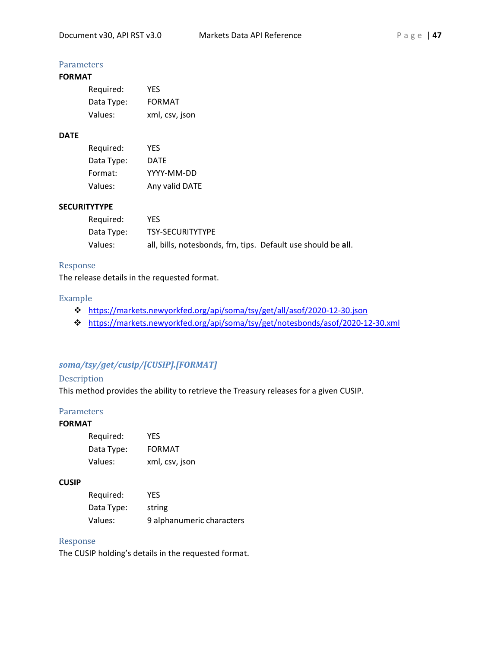# **Parameters**

# **FORMAT**

| Required:  | YFS            |
|------------|----------------|
| Data Type: | <b>FORMAT</b>  |
| Values:    | xml, csv, json |

# **DATE**

| Reguired:  | YFS            |
|------------|----------------|
| Data Type: | DATE           |
| Format:    | YYYY-MM-DD     |
| Values:    | Any valid DATE |

## **SECURITYTYPE**

| Required:  | YES.                                                          |  |
|------------|---------------------------------------------------------------|--|
| Data Type: | <b>TSY-SECURITYTYPE</b>                                       |  |
| Values:    | all, bills, notesbonds, frn, tips. Default use should be all. |  |

#### Response

The release details in the requested format.

#### Example

- <https://markets.newyorkfed.org/api/soma/tsy/get/all/asof/2020-12-30.json>
- <https://markets.newyorkfed.org/api/soma/tsy/get/notesbonds/asof/2020-12-30.xml>

# *soma/tsy/get/cusip/[CUSIP].[FORMAT]*

## Description

This method provides the ability to retrieve the Treasury releases for a given CUSIP.

#### **Parameters**

# **FORMAT**

| Required:  | YFS            |
|------------|----------------|
| Data Type: | <b>FORMAT</b>  |
| Values:    | xml, csv, json |

#### **CUSIP**

| Required:  | YFS                       |
|------------|---------------------------|
| Data Type: | string                    |
| Values:    | 9 alphanumeric characters |

# Response

The CUSIP holding's details in the requested format.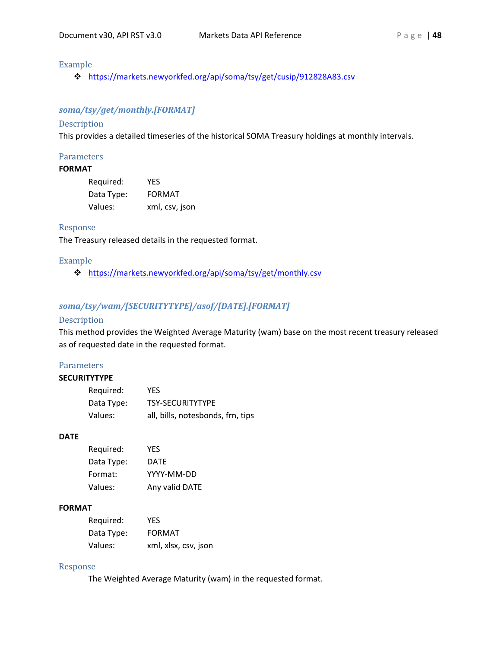# Example

<https://markets.newyorkfed.org/api/soma/tsy/get/cusip/912828A83.csv>

# *soma/tsy/get/monthly.[FORMAT]*

#### Description

This provides a detailed timeseries of the historical SOMA Treasury holdings at monthly intervals.

#### **Parameters**

#### **FORMAT**

| Required:  | YFS            |
|------------|----------------|
| Data Type: | <b>FORMAT</b>  |
| Values:    | xml, csv, json |

#### Response

The Treasury released details in the requested format.

#### Example

<https://markets.newyorkfed.org/api/soma/tsy/get/monthly.csv>

# *soma/tsy/wam/[SECURITYTYPE]/asof/[DATE].[FORMAT]*

# Description

This method provides the Weighted Average Maturity (wam) base on the most recent treasury released as of requested date in the requested format.

#### **Parameters**

# **SECURITYTYPE**

| Required:  | <b>YES</b>                        |
|------------|-----------------------------------|
| Data Type: | <b>TSY-SECURITYTYPE</b>           |
| Values:    | all, bills, notesbonds, frn, tips |

#### **DATE**

| Required:  | YFS            |
|------------|----------------|
| Data Type: | DATE           |
| Format:    | YYYY-MM-DD     |
| Values:    | Any valid DATE |

#### **FORMAT**

| Required:  | YFS                  |
|------------|----------------------|
| Data Type: | <b>FORMAT</b>        |
| Values:    | xml, xlsx, csv, json |

#### Response

The Weighted Average Maturity (wam) in the requested format.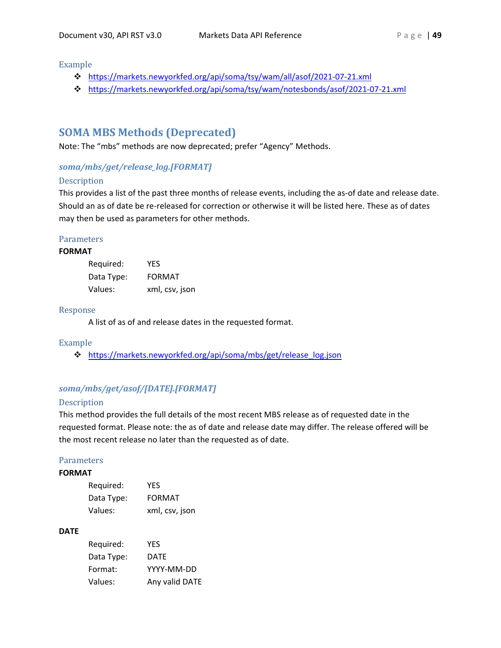Example

- <https://markets.newyorkfed.org/api/soma/tsy/wam/all/asof/2021-07-21.xml>
- <https://markets.newyorkfed.org/api/soma/tsy/wam/notesbonds/asof/2021-07-21.xml>

# <span id="page-48-0"></span>**SOMA MBS Methods (Deprecated)**

Note: The "mbs" methods are now deprecated; prefer "Agency" Methods.

# *soma/mbs/get/release\_log.[FORMAT]*

#### Description

This provides a list of the past three months of release events, including the as-of date and release date. Should an as of date be re-released for correction or otherwise it will be listed here. These as of dates may then be used as parameters for other methods.

#### **Parameters**

#### **FORMAT**

| Required:  | YFS            |
|------------|----------------|
| Data Type: | FORMAT         |
| Values:    | xml, csv, json |

#### Response

A list of as of and release dates in the requested format.

#### Example

[https://markets.newyorkfed.org/api/soma/mbs/get/release\\_log.json](https://markets.newyorkfed.org/api/soma/mbs/get/release_log.json)

# *soma/mbs/get/asof/[DATE].[FORMAT]*

#### Description

This method provides the full details of the most recent MBS release as of requested date in the requested format. Please note: the as of date and release date may differ. The release offered will be the most recent release no later than the requested as of date.

#### **Parameters**

# **FORMAT**

| Required:  | YFS            |
|------------|----------------|
| Data Type: | <b>FORMAT</b>  |
| Values:    | xml, csv, json |

#### **DATE**

| Required:  | YFS            |
|------------|----------------|
| Data Type: | DATE           |
| Format:    | YYYY-MM-DD     |
| Values:    | Any valid DATE |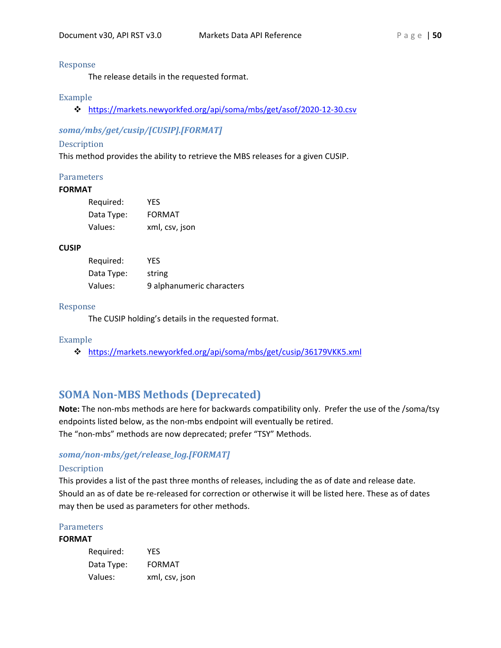#### Response

The release details in the requested format.

#### Example

<https://markets.newyorkfed.org/api/soma/mbs/get/asof/2020-12-30.csv>

# *soma/mbs/get/cusip/[CUSIP].[FORMAT]*

#### Description

This method provides the ability to retrieve the MBS releases for a given CUSIP.

#### Parameters

#### **FORMAT**

| Required:  | <b>YFS</b>     |
|------------|----------------|
| Data Type: | <b>FORMAT</b>  |
| Values:    | xml, csv, json |

#### **CUSIP**

| Required:  | YFS                       |
|------------|---------------------------|
| Data Type: | string                    |
| Values:    | 9 alphanumeric characters |

#### Response

The CUSIP holding's details in the requested format.

#### Example

<https://markets.newyorkfed.org/api/soma/mbs/get/cusip/36179VKK5.xml>

# <span id="page-49-0"></span>**SOMA Non-MBS Methods (Deprecated)**

**Note:** The non-mbs methods are here for backwards compatibility only. Prefer the use of the /soma/tsy endpoints listed below, as the non-mbs endpoint will eventually be retired. The "non-mbs" methods are now deprecated; prefer "TSY" Methods.

#### *soma/non-mbs/get/release\_log.[FORMAT]*

#### Description

This provides a list of the past three months of releases, including the as of date and release date. Should an as of date be re-released for correction or otherwise it will be listed here. These as of dates may then be used as parameters for other methods.

#### Parameters

#### **FORMAT**

| Required:  | YFS            |
|------------|----------------|
| Data Type: | <b>FORMAT</b>  |
| Values:    | xml, csv, json |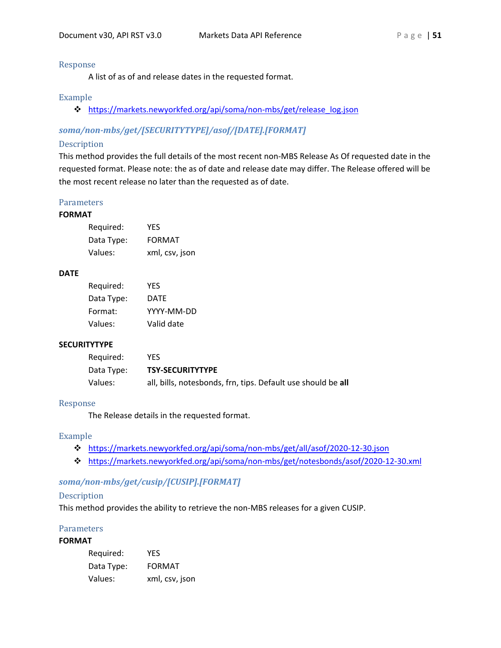#### Response

A list of as of and release dates in the requested format.

#### Example

[https://markets.newyorkfed.org/api/soma/non-mbs/get/release\\_log.json](https://markets.newyorkfed.org/api/soma/non-mbs/get/release_log.json)

# *soma/non-mbs/get/[SECURITYTYPE]/asof/[DATE].[FORMAT]*

#### Description

This method provides the full details of the most recent non-MBS Release As Of requested date in the requested format. Please note: the as of date and release date may differ. The Release offered will be the most recent release no later than the requested as of date.

#### Parameters

#### **FORMAT**

| Required:  | <b>YFS</b>     |
|------------|----------------|
| Data Type: | <b>FORMAT</b>  |
| Values:    | xml, csv, json |

#### **DATE**

| Required:  | YFS        |
|------------|------------|
| Data Type: | DATE       |
| Format:    | YYYY-MM-DD |
| Values:    | Valid date |

#### **SECURITYTYPE**

| Reguired:  | YES.                                                         |
|------------|--------------------------------------------------------------|
| Data Type: | <b>TSY-SECURITYTYPE</b>                                      |
| Values:    | all, bills, notesbonds, frn, tips. Default use should be all |

#### Response

The Release details in the requested format.

### Example

- <https://markets.newyorkfed.org/api/soma/non-mbs/get/all/asof/2020-12-30.json>
- <https://markets.newyorkfed.org/api/soma/non-mbs/get/notesbonds/asof/2020-12-30.xml>

# *soma/non-mbs/get/cusip/[CUSIP].[FORMAT]*

#### Description

This method provides the ability to retrieve the non-MBS releases for a given CUSIP.

#### **Parameters**

#### **FORMAT**

| Required:  | YFS            |
|------------|----------------|
| Data Type: | <b>FORMAT</b>  |
| Values:    | xml, csv, json |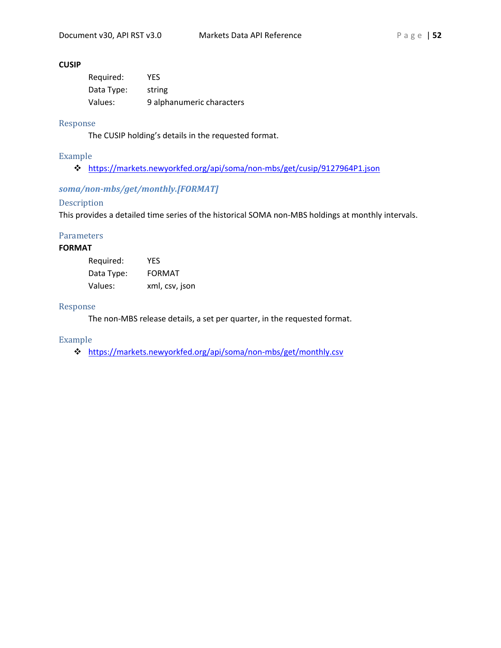#### **CUSIP**

| Required:  | YES                       |
|------------|---------------------------|
| Data Type: | string                    |
| Values:    | 9 alphanumeric characters |

#### Response

The CUSIP holding's details in the requested format.

#### Example

<https://markets.newyorkfed.org/api/soma/non-mbs/get/cusip/9127964P1.json>

# *soma/non-mbs/get/monthly.[FORMAT]*

# Description

This provides a detailed time series of the historical SOMA non-MBS holdings at monthly intervals.

#### **Parameters**

# **FORMAT**

| Required:  | YFS            |
|------------|----------------|
| Data Type: | <b>FORMAT</b>  |
| Values:    | xml, csv, json |

#### Response

The non-MBS release details, a set per quarter, in the requested format.

#### Example

<https://markets.newyorkfed.org/api/soma/non-mbs/get/monthly.csv>